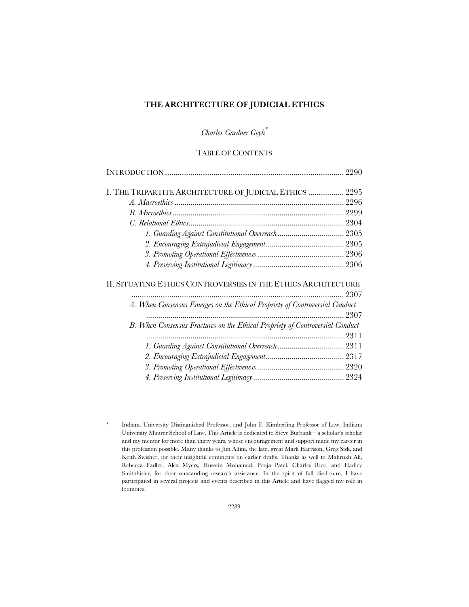# **THE ARCHITECTURE OF JUDICIAL ETHICS**

*Charles Gardner Geyh*\*

# TABLE OF CONTENTS

| I. THE TRIPARTITE ARCHITECTURE OF JUDICIAL ETHICS  2295                       |  |
|-------------------------------------------------------------------------------|--|
|                                                                               |  |
|                                                                               |  |
|                                                                               |  |
|                                                                               |  |
|                                                                               |  |
|                                                                               |  |
|                                                                               |  |
| II. SITUATING ETHICS CONTROVERSIES IN THE ETHICS ARCHITECTURE                 |  |
|                                                                               |  |
| A. When Consensus Emerges on the Ethical Propriety of Controversial Conduct   |  |
|                                                                               |  |
| B. When Consensus Fractures on the Ethical Propriety of Controversial Conduct |  |
|                                                                               |  |
|                                                                               |  |
|                                                                               |  |
|                                                                               |  |
|                                                                               |  |

<sup>\*</sup> Indiana University Distinguished Professor, and John F. Kimberling Professor of Law, Indiana University Maurer School of Law. This Article is dedicated to Steve Burbank—a scholar's scholar and my mentor for more than thirty years, whose encouragement and support made my career in this profession possible. Many thanks to Jim Alfini, the late, great Mark Harrison, Greg Sisk, and Keith Swisher, for their insightful comments on earlier drafts. Thanks as well to Mahrukh Ali, Rebecca Fadler, Alex Myers, Hussein Mohamed, Pooja Patel, Charles Rice, and Hadley Smithhisler, for their outstanding research assistance. In the spirit of full disclosure, I have participated in several projects and events described in this Article and have flagged my role in footnotes.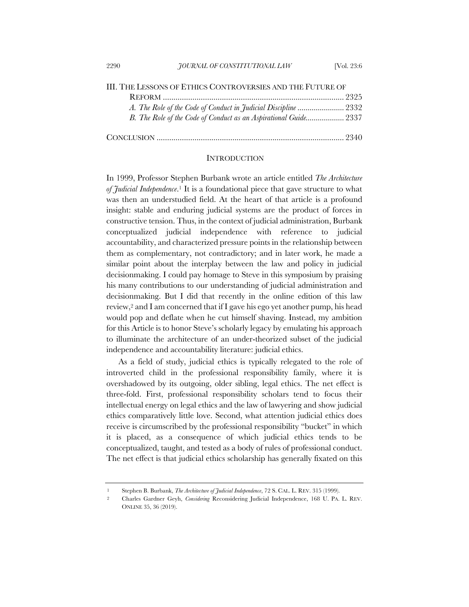| III. THE LESSONS OF ETHICS CONTROVERSIES AND THE FUTURE OF       |  |
|------------------------------------------------------------------|--|
|                                                                  |  |
|                                                                  |  |
| B. The Role of the Code of Conduct as an Aspirational Guide 2337 |  |
|                                                                  |  |

#### **INTRODUCTION**

In 1999, Professor Stephen Burbank wrote an article entitled *The Architecture of Judicial Independence*.1 It is a foundational piece that gave structure to what was then an understudied field. At the heart of that article is a profound insight: stable and enduring judicial systems are the product of forces in constructive tension. Thus, in the context of judicial administration, Burbank conceptualized judicial independence with reference to judicial accountability, and characterized pressure points in the relationship between them as complementary, not contradictory; and in later work, he made a similar point about the interplay between the law and policy in judicial decisionmaking. I could pay homage to Steve in this symposium by praising his many contributions to our understanding of judicial administration and decisionmaking. But I did that recently in the online edition of this law review,2 and I am concerned that if I gave his ego yet another pump, his head would pop and deflate when he cut himself shaving. Instead, my ambition for this Article is to honor Steve's scholarly legacy by emulating his approach to illuminate the architecture of an under-theorized subset of the judicial independence and accountability literature: judicial ethics.

As a field of study, judicial ethics is typically relegated to the role of introverted child in the professional responsibility family, where it is overshadowed by its outgoing, older sibling, legal ethics. The net effect is three-fold. First, professional responsibility scholars tend to focus their intellectual energy on legal ethics and the law of lawyering and show judicial ethics comparatively little love. Second, what attention judicial ethics does receive is circumscribed by the professional responsibility "bucket" in which it is placed, as a consequence of which judicial ethics tends to be conceptualized, taught, and tested as a body of rules of professional conduct. The net effect is that judicial ethics scholarship has generally fixated on this

<sup>1</sup> Stephen B. Burbank, *The Architecture of Judicial Independence*, 72 S. CAL. L. REV. 315 (1999).

<sup>2</sup> Charles Gardner Geyh, *Considering* Reconsidering Judicial Independence, 168 U. PA. L. REV. ONLINE 35, 36 (2019).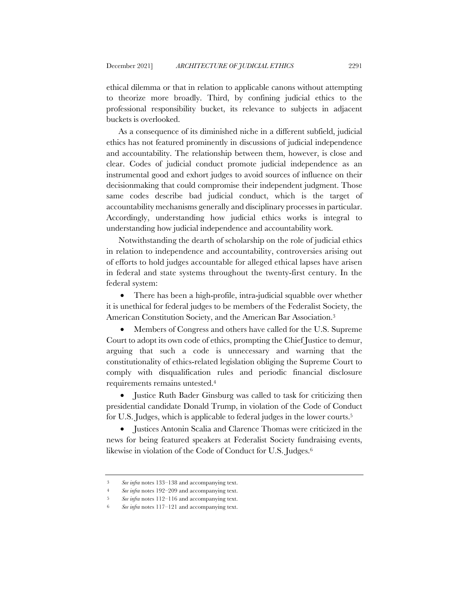ethical dilemma or that in relation to applicable canons without attempting to theorize more broadly. Third, by confining judicial ethics to the professional responsibility bucket, its relevance to subjects in adjacent buckets is overlooked.

As a consequence of its diminished niche in a different subfield, judicial ethics has not featured prominently in discussions of judicial independence and accountability. The relationship between them, however, is close and clear. Codes of judicial conduct promote judicial independence as an instrumental good and exhort judges to avoid sources of influence on their decisionmaking that could compromise their independent judgment. Those same codes describe bad judicial conduct, which is the target of accountability mechanisms generally and disciplinary processes in particular. Accordingly, understanding how judicial ethics works is integral to understanding how judicial independence and accountability work.

Notwithstanding the dearth of scholarship on the role of judicial ethics in relation to independence and accountability, controversies arising out of efforts to hold judges accountable for alleged ethical lapses have arisen in federal and state systems throughout the twenty-first century. In the federal system:

• There has been a high-profile, intra-judicial squabble over whether it is unethical for federal judges to be members of the Federalist Society, the American Constitution Society, and the American Bar Association.3

• Members of Congress and others have called for the U.S. Supreme Court to adopt its own code of ethics, prompting the Chief Justice to demur, arguing that such a code is unnecessary and warning that the constitutionality of ethics-related legislation obliging the Supreme Court to comply with disqualification rules and periodic financial disclosure requirements remains untested.4

• Justice Ruth Bader Ginsburg was called to task for criticizing then presidential candidate Donald Trump, in violation of the Code of Conduct for U.S. Judges, which is applicable to federal judges in the lower courts.5

• Justices Antonin Scalia and Clarence Thomas were criticized in the news for being featured speakers at Federalist Society fundraising events, likewise in violation of the Code of Conduct for U.S. Judges.6

<sup>3</sup> *See infra* notes 133–138 and accompanying text.

<sup>4</sup> *See infra* notes 192–209 and accompanying text.

<sup>5</sup> *See infra* notes 112–116 and accompanying text.

<sup>6</sup> *See infra* notes 117–121 and accompanying text.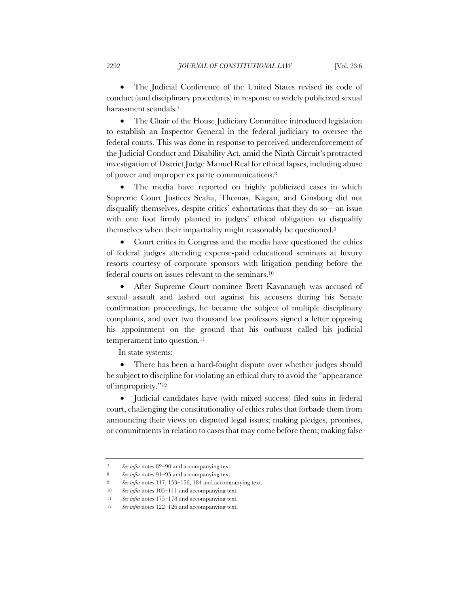• The Judicial Conference of the United States revised its code of conduct (and disciplinary procedures) in response to widely publicized sexual harassment scandals.7

• The Chair of the House Judiciary Committee introduced legislation to establish an Inspector General in the federal judiciary to oversee the federal courts. This was done in response to perceived underenforcement of the Judicial Conduct and Disability Act, amid the Ninth Circuit's protracted investigation of District Judge Manuel Real for ethical lapses, including abuse of power and improper ex parte communications.8

• The media have reported on highly publicized cases in which Supreme Court Justices Scalia, Thomas, Kagan, and Ginsburg did not disqualify themselves, despite critics' exhortations that they do so—an issue with one foot firmly planted in judges' ethical obligation to disqualify themselves when their impartiality might reasonably be questioned.9

• Court critics in Congress and the media have questioned the ethics of federal judges attending expense-paid educational seminars at luxury resorts courtesy of corporate sponsors with litigation pending before the federal courts on issues relevant to the seminars.10

• After Supreme Court nominee Brett Kavanaugh was accused of sexual assault and lashed out against his accusers during his Senate confirmation proceedings, he became the subject of multiple disciplinary complaints, and over two thousand law professors signed a letter opposing his appointment on the ground that his outburst called his judicial temperament into question.11

In state systems:

• There has been a hard-fought dispute over whether judges should be subject to discipline for violating an ethical duty to avoid the "appearance of impropriety."12

• Judicial candidates have (with mixed success) filed suits in federal court, challenging the constitutionality of ethics rules that forbade them from announcing their views on disputed legal issues; making pledges, promises, or commitments in relation to cases that may come before them; making false

<sup>7</sup> *See infra* notes 82–90 and accompanying text.

<sup>8</sup> *See infra* notes 91–95 and accompanying text.

<sup>9</sup> *See infra* notes 117, 153–156, 184 and accompanying text.

<sup>10</sup> *See infra* notes 105–111 and accompanying text.

<sup>11</sup> *See infra* notes 175–178 and accompanying text.

<sup>12</sup> *See infra* notes 122–126 and accompanying text.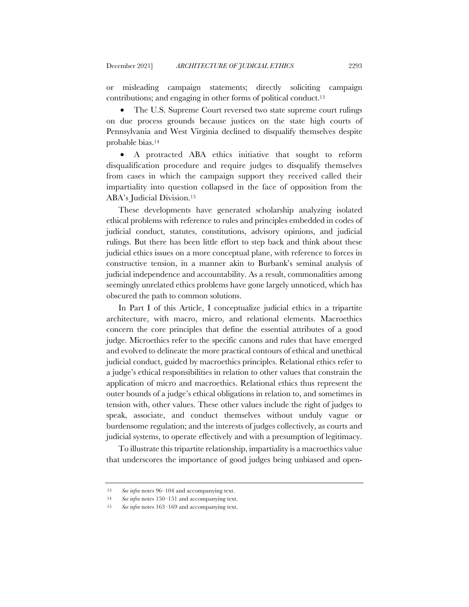or misleading campaign statements; directly soliciting campaign contributions; and engaging in other forms of political conduct.13

• The U.S. Supreme Court reversed two state supreme court rulings on due process grounds because justices on the state high courts of Pennsylvania and West Virginia declined to disqualify themselves despite probable bias.14

• A protracted ABA ethics initiative that sought to reform disqualification procedure and require judges to disqualify themselves from cases in which the campaign support they received called their impartiality into question collapsed in the face of opposition from the ABA's Judicial Division.15

These developments have generated scholarship analyzing isolated ethical problems with reference to rules and principles embedded in codes of judicial conduct, statutes, constitutions, advisory opinions, and judicial rulings. But there has been little effort to step back and think about these judicial ethics issues on a more conceptual plane, with reference to forces in constructive tension, in a manner akin to Burbank's seminal analysis of judicial independence and accountability. As a result, commonalities among seemingly unrelated ethics problems have gone largely unnoticed, which has obscured the path to common solutions.

In Part I of this Article, I conceptualize judicial ethics in a tripartite architecture, with macro, micro, and relational elements. Macroethics concern the core principles that define the essential attributes of a good judge. Microethics refer to the specific canons and rules that have emerged and evolved to delineate the more practical contours of ethical and unethical judicial conduct, guided by macroethics principles. Relational ethics refer to a judge's ethical responsibilities in relation to other values that constrain the application of micro and macroethics. Relational ethics thus represent the outer bounds of a judge's ethical obligations in relation to, and sometimes in tension with, other values. These other values include the right of judges to speak, associate, and conduct themselves without unduly vague or burdensome regulation; and the interests of judges collectively, as courts and judicial systems, to operate effectively and with a presumption of legitimacy.

To illustrate this tripartite relationship, impartiality is a macroethics value that underscores the importance of good judges being unbiased and open-

<sup>13</sup> *See infra* notes 96–104 and accompanying text.

<sup>14</sup> *See infra* notes 150–151 and accompanying text.

<sup>15</sup> *See infra* notes 163–169 and accompanying text.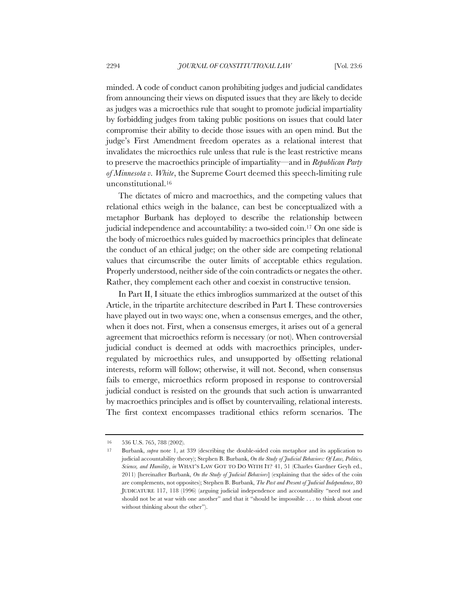minded. A code of conduct canon prohibiting judges and judicial candidates from announcing their views on disputed issues that they are likely to decide as judges was a microethics rule that sought to promote judicial impartiality by forbidding judges from taking public positions on issues that could later compromise their ability to decide those issues with an open mind. But the judge's First Amendment freedom operates as a relational interest that invalidates the microethics rule unless that rule is the least restrictive means to preserve the macroethics principle of impartiality—and in *Republican Party of Minnesota v. White*, the Supreme Court deemed this speech-limiting rule unconstitutional.16

The dictates of micro and macroethics, and the competing values that relational ethics weigh in the balance, can best be conceptualized with a metaphor Burbank has deployed to describe the relationship between judicial independence and accountability: a two-sided coin.17 On one side is the body of microethics rules guided by macroethics principles that delineate the conduct of an ethical judge; on the other side are competing relational values that circumscribe the outer limits of acceptable ethics regulation. Properly understood, neither side of the coin contradicts or negates the other. Rather, they complement each other and coexist in constructive tension.

In Part II, I situate the ethics imbroglios summarized at the outset of this Article, in the tripartite architecture described in Part I. These controversies have played out in two ways: one, when a consensus emerges, and the other, when it does not. First, when a consensus emerges, it arises out of a general agreement that microethics reform is necessary (or not). When controversial judicial conduct is deemed at odds with macroethics principles, underregulated by microethics rules, and unsupported by offsetting relational interests, reform will follow; otherwise, it will not. Second, when consensus fails to emerge, microethics reform proposed in response to controversial judicial conduct is resisted on the grounds that such action is unwarranted by macroethics principles and is offset by countervailing, relational interests. The first context encompasses traditional ethics reform scenarios. The

<sup>16</sup> 536 U.S. 765, 788 (2002).

<sup>17</sup> Burbank, *supra* note 1, at 339 (describing the double-sided coin metaphor and its application to judicial accountability theory); Stephen B. Burbank, *On the Study of Judicial Behaviors: Of Law, Politics, Science, and Humility*, *in* WHAT'S LAW GOT TO DO WITH IT? 41, 51 (Charles Gardner Geyh ed., 2011) [hereinafter Burbank, *On the Study of Judicial Behaviors*] (explaining that the sides of the coin are complements, not opposites); Stephen B. Burbank, *The Past and Present of Judicial Independence*, 80 JUDICATURE 117, 118 (1996) (arguing judicial independence and accountability "need not and should not be at war with one another" and that it "should be impossible . . . to think about one without thinking about the other").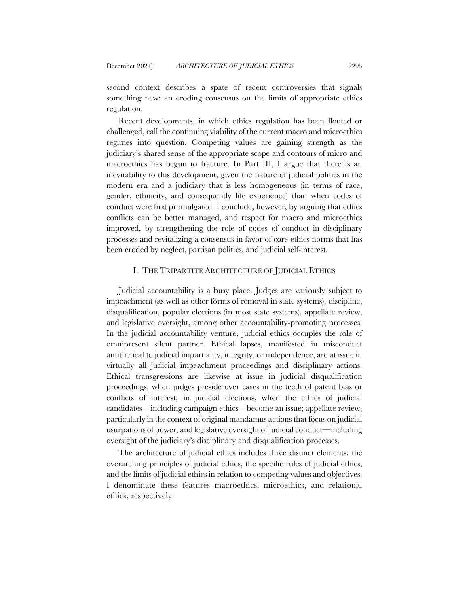second context describes a spate of recent controversies that signals something new: an eroding consensus on the limits of appropriate ethics regulation.

Recent developments, in which ethics regulation has been flouted or challenged, call the continuing viability of the current macro and microethics regimes into question. Competing values are gaining strength as the judiciary's shared sense of the appropriate scope and contours of micro and macroethics has begun to fracture. In Part III, I argue that there is an inevitability to this development, given the nature of judicial politics in the modern era and a judiciary that is less homogeneous (in terms of race, gender, ethnicity, and consequently life experience) than when codes of conduct were first promulgated. I conclude, however, by arguing that ethics conflicts can be better managed, and respect for macro and microethics improved, by strengthening the role of codes of conduct in disciplinary processes and revitalizing a consensus in favor of core ethics norms that has been eroded by neglect, partisan politics, and judicial self-interest.

### I. THE TRIPARTITE ARCHITECTURE OF JUDICIAL ETHICS

Judicial accountability is a busy place. Judges are variously subject to impeachment (as well as other forms of removal in state systems), discipline, disqualification, popular elections (in most state systems), appellate review, and legislative oversight, among other accountability-promoting processes. In the judicial accountability venture, judicial ethics occupies the role of omnipresent silent partner. Ethical lapses, manifested in misconduct antithetical to judicial impartiality, integrity, or independence, are at issue in virtually all judicial impeachment proceedings and disciplinary actions. Ethical transgressions are likewise at issue in judicial disqualification proceedings, when judges preside over cases in the teeth of patent bias or conflicts of interest; in judicial elections, when the ethics of judicial candidates—including campaign ethics—become an issue; appellate review, particularly in the context of original mandamus actions that focus on judicial usurpations of power; and legislative oversight of judicial conduct—including oversight of the judiciary's disciplinary and disqualification processes.

The architecture of judicial ethics includes three distinct elements: the overarching principles of judicial ethics, the specific rules of judicial ethics, and the limits of judicial ethics in relation to competing values and objectives. I denominate these features macroethics, microethics, and relational ethics, respectively.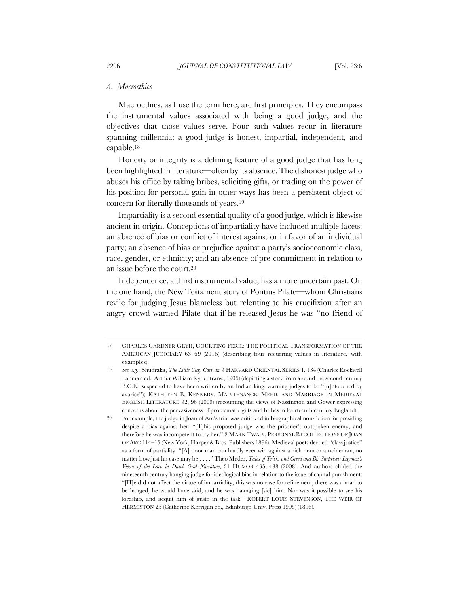#### *A. Macroethics*

Macroethics, as I use the term here, are first principles. They encompass the instrumental values associated with being a good judge, and the objectives that those values serve. Four such values recur in literature spanning millennia: a good judge is honest, impartial, independent, and capable.18

Honesty or integrity is a defining feature of a good judge that has long been highlighted in literature—often by its absence. The dishonest judge who abuses his office by taking bribes, soliciting gifts, or trading on the power of his position for personal gain in other ways has been a persistent object of concern for literally thousands of years.19

Impartiality is a second essential quality of a good judge, which is likewise ancient in origin. Conceptions of impartiality have included multiple facets: an absence of bias or conflict of interest against or in favor of an individual party; an absence of bias or prejudice against a party's socioeconomic class, race, gender, or ethnicity; and an absence of pre-commitment in relation to an issue before the court.20

Independence, a third instrumental value, has a more uncertain past. On the one hand, the New Testament story of Pontius Pilate—whom Christians revile for judging Jesus blameless but relenting to his crucifixion after an angry crowd warned Pilate that if he released Jesus he was "no friend of

<sup>18</sup> CHARLES GARDNER GEYH, COURTING PERIL: THE POLITICAL TRANSFORMATION OF THE AMERICAN JUDICIARY 63–69 (2016) (describing four recurring values in literature, with examples).

<sup>19</sup> *See, e.g.*, Shudraka, *The Little Clay Cart*, *in* 9 HARVARD ORIENTAL SERIES 1, 134 (Charles Rockwell Lanman ed., Arthur William Ryder trans., 1905) (depicting a story from around the second century B.C.E., suspected to have been written by an Indian king, warning judges to be "[u]ntouched by avarice"); KATHLEEN E. KENNEDY, MAINTENANCE, MEED, AND MARRIAGE IN MEDIEVAL ENGLISH LITERATURE 92, 96 (2009) (recounting the views of Nassington and Gower expressing concerns about the pervasiveness of problematic gifts and bribes in fourteenth century England).

<sup>20</sup> For example, the judge in Joan of Arc's trial was criticized in biographical non-fiction for presiding despite a bias against her: "[T]his proposed judge was the prisoner's outspoken enemy, and therefore he was incompetent to try her." 2 MARK TWAIN, PERSONAL RECOLLECTIONS OF JOAN OF ARC 114–15 (New York, Harper & Bros. Publishers 1896). Medieval poets decried "class justice" as a form of partiality: "[A] poor man can hardly ever win against a rich man or a nobleman, no matter how just his case may be . . . ." Theo Meder, *Tales of Tricks and Greed and Big Surprises: Laymen's Views of the Law in Dutch Oral Narrative*, 21 HUMOR 435, 438 (2008). And authors chided the nineteenth century hanging judge for ideological bias in relation to the issue of capital punishment: "[H]e did not affect the virtue of impartiality; this was no case for refinement; there was a man to be hanged, he would have said, and he was haanging [sic] him. Nor was it possible to see his lordship, and acquit him of gusto in the task." ROBERT LOUIS STEVENSON, THE WEIR OF HERMISTON 25 (Catherine Kerrigan ed., Edinburgh Univ. Press 1995) (1896).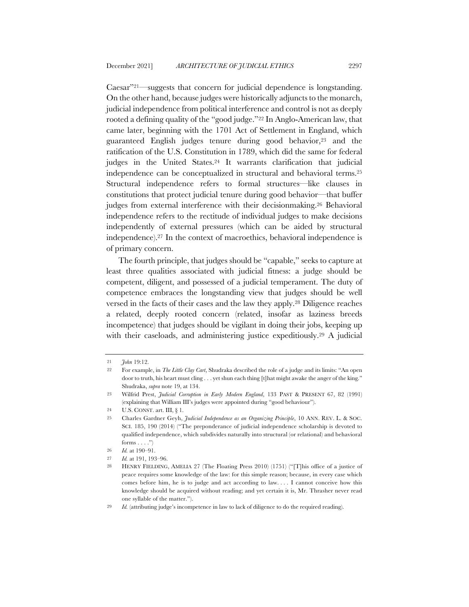Caesar"21—suggests that concern for judicial dependence is longstanding. On the other hand, because judges were historically adjuncts to the monarch, judicial independence from political interference and control is not as deeply rooted a defining quality of the "good judge."22 In Anglo-American law, that came later, beginning with the 1701 Act of Settlement in England, which guaranteed English judges tenure during good behavior,23 and the ratification of the U.S. Constitution in 1789, which did the same for federal judges in the United States.24 It warrants clarification that judicial independence can be conceptualized in structural and behavioral terms.25 Structural independence refers to formal structures—like clauses in constitutions that protect judicial tenure during good behavior—that buffer judges from external interference with their decisionmaking.26 Behavioral independence refers to the rectitude of individual judges to make decisions independently of external pressures (which can be aided by structural independence).27 In the context of macroethics, behavioral independence is of primary concern.

The fourth principle, that judges should be "capable," seeks to capture at least three qualities associated with judicial fitness: a judge should be competent, diligent, and possessed of a judicial temperament. The duty of competence embraces the longstanding view that judges should be well versed in the facts of their cases and the law they apply.28 Diligence reaches a related, deeply rooted concern (related, insofar as laziness breeds incompetence) that judges should be vigilant in doing their jobs, keeping up with their caseloads, and administering justice expeditiously.<sup>29</sup> A judicial

<sup>21</sup> *John* 19:12.

<sup>22</sup> For example, in *The Little Clay Cart*, Shudraka described the role of a judge and its limits: "An open door to truth, his heart must cling . . . yet shun each thing [t]hat might awake the anger of the king." Shudraka, *supra* note 19, at 134.

<sup>23</sup> Wilfrid Prest, *Judicial Corruption in Early Modern England*, 133 PAST & PRESENT 67, 82 (1991) (explaining that William III's judges were appointed during "good behaviour").

<sup>24</sup> U.S. CONST. art. III, § 1.

<sup>25</sup> Charles Gardner Geyh, *Judicial Independence as an Organizing Principle*, 10 ANN. REV. L. & SOC. SCI. 185, 190 (2014) ("The preponderance of judicial independence scholarship is devoted to qualified independence, which subdivides naturally into structural (or relational) and behavioral forms  $\dots$ .")

<sup>26</sup> *Id.* at 190–91.

<sup>27</sup> *Id.* at 191, 193–96.

<sup>28</sup> HENRY FIELDING, AMELIA 27 (The Floating Press 2010) (1751) ("[T]his office of a justice of peace requires some knowledge of the law: for this simple reason; because, in every case which comes before him, he is to judge and act according to law. . . . I cannot conceive how this knowledge should be acquired without reading; and yet certain it is, Mr. Thrasher never read one syllable of the matter.").

<sup>29</sup> *Id.* (attributing judge's incompetence in law to lack of diligence to do the required reading).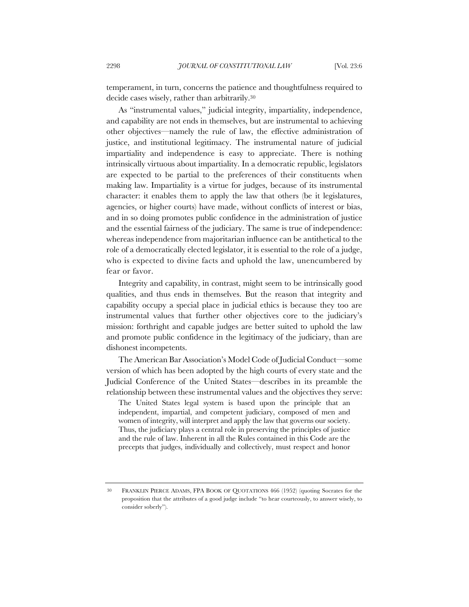temperament, in turn, concerns the patience and thoughtfulness required to decide cases wisely, rather than arbitrarily.30

As "instrumental values," judicial integrity, impartiality, independence, and capability are not ends in themselves, but are instrumental to achieving other objectives—namely the rule of law, the effective administration of justice, and institutional legitimacy. The instrumental nature of judicial impartiality and independence is easy to appreciate. There is nothing intrinsically virtuous about impartiality. In a democratic republic, legislators are expected to be partial to the preferences of their constituents when making law. Impartiality is a virtue for judges, because of its instrumental character: it enables them to apply the law that others (be it legislatures, agencies, or higher courts) have made, without conflicts of interest or bias, and in so doing promotes public confidence in the administration of justice and the essential fairness of the judiciary. The same is true of independence: whereas independence from majoritarian influence can be antithetical to the role of a democratically elected legislator, it is essential to the role of a judge, who is expected to divine facts and uphold the law, unencumbered by fear or favor.

Integrity and capability, in contrast, might seem to be intrinsically good qualities, and thus ends in themselves. But the reason that integrity and capability occupy a special place in judicial ethics is because they too are instrumental values that further other objectives core to the judiciary's mission: forthright and capable judges are better suited to uphold the law and promote public confidence in the legitimacy of the judiciary, than are dishonest incompetents.

The American Bar Association's Model Code of Judicial Conduct—some version of which has been adopted by the high courts of every state and the Judicial Conference of the United States—describes in its preamble the relationship between these instrumental values and the objectives they serve:

The United States legal system is based upon the principle that an independent, impartial, and competent judiciary, composed of men and women of integrity, will interpret and apply the law that governs our society. Thus, the judiciary plays a central role in preserving the principles of justice and the rule of law. Inherent in all the Rules contained in this Code are the precepts that judges, individually and collectively, must respect and honor

<sup>30</sup> FRANKLIN PIERCE ADAMS, FPA BOOK OF QUOTATIONS 466 (1952) (quoting Socrates for the proposition that the attributes of a good judge include "to hear courteously, to answer wisely, to consider soberly").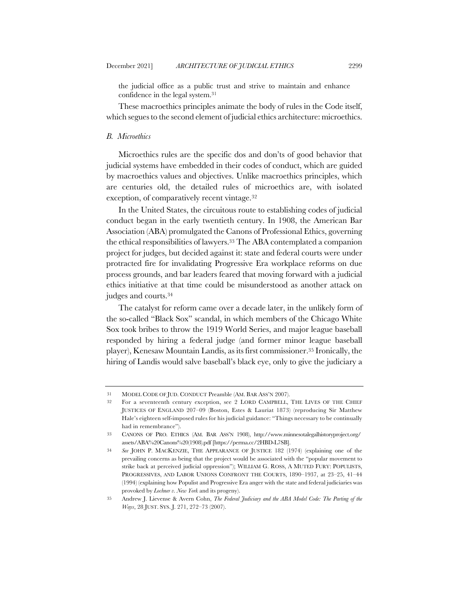the judicial office as a public trust and strive to maintain and enhance confidence in the legal system.31

These macroethics principles animate the body of rules in the Code itself, which segues to the second element of judicial ethics architecture: microethics.

## *B. Microethics*

Microethics rules are the specific dos and don'ts of good behavior that judicial systems have embedded in their codes of conduct, which are guided by macroethics values and objectives. Unlike macroethics principles, which are centuries old, the detailed rules of microethics are, with isolated exception, of comparatively recent vintage.32

In the United States, the circuitous route to establishing codes of judicial conduct began in the early twentieth century. In 1908, the American Bar Association (ABA) promulgated the Canons of Professional Ethics, governing the ethical responsibilities of lawyers.33 The ABA contemplated a companion project for judges, but decided against it: state and federal courts were under protracted fire for invalidating Progressive Era workplace reforms on due process grounds, and bar leaders feared that moving forward with a judicial ethics initiative at that time could be misunderstood as another attack on judges and courts.34

The catalyst for reform came over a decade later, in the unlikely form of the so-called "Black Sox" scandal, in which members of the Chicago White Sox took bribes to throw the 1919 World Series, and major league baseball responded by hiring a federal judge (and former minor league baseball player), Kenesaw Mountain Landis, as its first commissioner.35 Ironically, the hiring of Landis would salve baseball's black eye, only to give the judiciary a

<sup>31</sup> MODEL CODE OF JUD. CONDUCT Preamble (AM. BAR ASS'N 2007).

<sup>32</sup> For a seventeenth century exception, see 2 LORD CAMPBELL, THE LIVES OF THE CHIEF JUSTICES OF ENGLAND 207–09 (Boston, Estes & Lauriat 1873) (reproducing Sir Matthew Hale's eighteen self-imposed rules for his judicial guidance: "Things necessary to be continually had in remembrance").

<sup>33</sup> CANONS OF PRO. ETHICS (AM. BAR ASS'N 1908), http://www.minnesotalegalhistoryproject.org/ assets/ABA%20Canons%20(1908).pdf [https://perma.cc/2HBD-L7SB].

<sup>34</sup> *See* JOHN P. MACKENZIE, THE APPEARANCE OF JUSTICE 182 (1974) (explaining one of the prevailing concerns as being that the project would be associated with the "popular movement to strike back at perceived judicial oppression"); WILLIAM G. ROSS, A MUTED FURY: POPULISTS, PROGRESSIVES, AND LABOR UNIONS CONFRONT THE COURTS, 1890–1937, at 23–25, 41–44 (1994) (explaining how Populist and Progressive Era anger with the state and federal judiciaries was provoked by *Lochner v. New York* and its progeny).

<sup>35</sup> Andrew J. Lievense & Avern Cohn, *The Federal Judiciary and the ABA Model Code: The Parting of the Ways*, 28 JUST. SYS. J. 271, 272–73 (2007).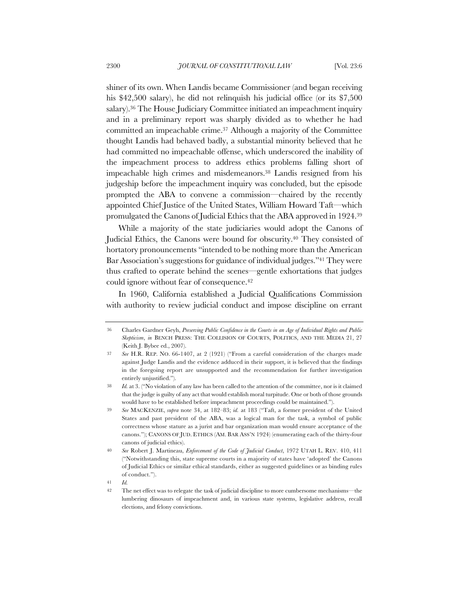shiner of its own. When Landis became Commissioner (and began receiving his \$42,500 salary), he did not relinquish his judicial office (or its \$7,500 salary).36 The House Judiciary Committee initiated an impeachment inquiry and in a preliminary report was sharply divided as to whether he had committed an impeachable crime.37 Although a majority of the Committee thought Landis had behaved badly, a substantial minority believed that he had committed no impeachable offense, which underscored the inability of the impeachment process to address ethics problems falling short of impeachable high crimes and misdemeanors.38 Landis resigned from his judgeship before the impeachment inquiry was concluded, but the episode prompted the ABA to convene a commission—chaired by the recently appointed Chief Justice of the United States, William Howard Taft—which promulgated the Canons of Judicial Ethics that the ABA approved in 1924.39

While a majority of the state judiciaries would adopt the Canons of Judicial Ethics, the Canons were bound for obscurity.40 They consisted of hortatory pronouncements "intended to be nothing more than the American Bar Association's suggestions for guidance of individual judges."41 They were thus crafted to operate behind the scenes—gentle exhortations that judges could ignore without fear of consequence.<sup>42</sup>

In 1960, California established a Judicial Qualifications Commission with authority to review judicial conduct and impose discipline on errant

<sup>36</sup> Charles Gardner Geyh, *Preserving Public Confidence in the Courts in an Age of Individual Rights and Public Skepticism*, *in* BENCH PRESS: THE COLLISION OF COURTS, POLITICS, AND THE MEDIA 21, 27 (Keith J. Bybee ed., 2007).

<sup>37</sup> *See* H.R. REP. NO. 66-1407, at 2 (1921) ("From a careful consideration of the charges made against Judge Landis and the evidence adduced in their support, it is believed that the findings in the foregoing report are unsupported and the recommendation for further investigation entirely unjustified.").

<sup>38</sup> *Id.* at 3. ("No violation of any law has been called to the attention of the committee, nor is it claimed that the judge is guilty of any act that would establish moral turpitude. One or both of those grounds would have to be established before impeachment proceedings could be maintained.").

<sup>39</sup> *See* MACKENZIE, *supra* note 34, at 182–83; *id.* at 183 ("Taft, a former president of the United States and past president of the ABA, was a logical man for the task, a symbol of public correctness whose stature as a jurist and bar organization man would ensure acceptance of the canons."); CANONS OF JUD. ETHICS (AM. BAR ASS'N 1924) (enumerating each of the thirty-four canons of judicial ethics).

<sup>40</sup> *See* Robert J. Martineau, *Enforcement of the Code of Judicial Conduct*, 1972 UTAH L. REV. 410, 411 ("Notwithstanding this, state supreme courts in a majority of states have 'adopted' the Canons of Judicial Ethics or similar ethical standards, either as suggested guidelines or as binding rules of conduct.").

<sup>41</sup> *Id.*

<sup>42</sup> The net effect was to relegate the task of judicial discipline to more cumbersome mechanisms—the lumbering dinosaurs of impeachment and, in various state systems, legislative address, recall elections, and felony convictions.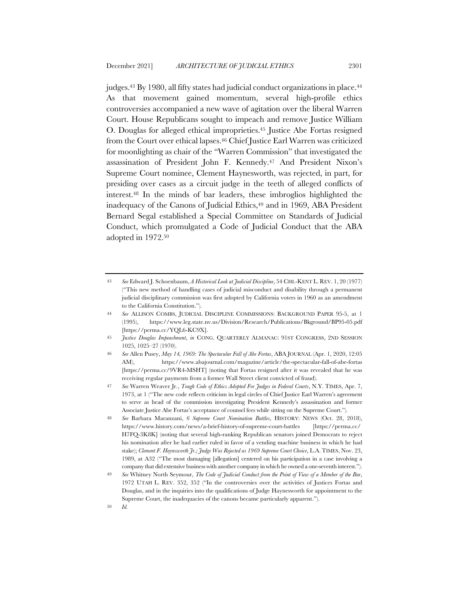judges.43 By 1980, all fifty states had judicial conduct organizations in place.44 As that movement gained momentum, several high-profile ethics controversies accompanied a new wave of agitation over the liberal Warren Court. House Republicans sought to impeach and remove Justice William O. Douglas for alleged ethical improprieties.45 Justice Abe Fortas resigned from the Court over ethical lapses.46 Chief Justice Earl Warren was criticized for moonlighting as chair of the "Warren Commission" that investigated the assassination of President John F. Kennedy.47 And President Nixon's Supreme Court nominee, Clement Haynesworth, was rejected, in part, for presiding over cases as a circuit judge in the teeth of alleged conflicts of interest.48 In the minds of bar leaders, these imbroglios highlighted the inadequacy of the Canons of Judicial Ethics,<sup>49</sup> and in 1969, ABA President Bernard Segal established a Special Committee on Standards of Judicial Conduct, which promulgated a Code of Judicial Conduct that the ABA adopted in 1972.50

<sup>43</sup> *See* Edward J. Schoenbaum, *A Historical Look at Judicial Discipline*, 54 CHI.-KENT L. REV. 1, 20 (1977) ("This new method of handling cases of judicial misconduct and disability through a permanent judicial disciplinary commission was first adopted by California voters in 1960 as an amendment to the California Constitution.").

<sup>44</sup> *See* ALLISON COMBS, JUDICIAL DISCIPLINE COMMISSIONS: BACKGROUND PAPER 95-5, at 1 (1995), https://www.leg.state.nv.us/Division/Research/Publications/Bkground/BP95-05.pdf [https://perma.cc/YQL6-KC9X].

<sup>45</sup> *Justice Douglas Impeachment*, *in* CONG. QUARTERLY ALMANAC: 91ST CONGRESS, 2ND SESSION 1025, 1025–27 (1970).

<sup>46</sup> *See* Allen Pusey, *May 14, 1969: The Spectacular Fall of Abe Fortas*, ABA JOURNAL (Apr. 1, 2020, 12:05 AM), https://www.abajournal.com/magazine/article/the-spectacular-fall-of-abe-fortas [https://perma.cc/9VR4-MSHT] (noting that Fortas resigned after it was revealed that he was receiving regular payments from a former Wall Street client convicted of fraud).

<sup>47</sup> *See* Warren Weaver Jr., *Tough Code of Ethics Adopted For Judges in Federal Courts*, N.Y. TIMES, Apr. 7, 1973, at 1 ("The new code reflects criticism in legal circles of Chief Justice Earl Warren's agreement to serve as head of the commission investigating President Kennedy's assassination and former Associate Justice Abe Fortas's acceptance of counsel fees while sitting on the Supreme Court.").

<sup>48</sup> *See* Barbara Maranzani, *6 Supreme Court Nomination Battles*, HISTORY: NEWS (Oct. 28, 2018), https://www.history.com/news/a-brief-history-of-supreme-court-battles [https://perma.cc/ H7FQ-3K8K] (noting that several high-ranking Republican senators joined Democrats to reject his nomination after he had earlier ruled in favor of a vending machine business in which he had stake); *Clement F. Haynsworth Jr.; Judge Was Rejected as 1969 Supreme Court Choice*, L.A. TIMES, Nov. 23, 1989, at A32 ("The most damaging [allegation] centered on his participation in a case involving a company that did extensive business with another company in which he owned a one-seventh interest.").

<sup>49</sup> *See* Whitney North Seymour, *The Code of Judicial Conduct from the Point of View of a Member of the Bar*, 1972 UTAH L. REV. 352, 352 ("In the controversies over the activities of Justices Fortas and Douglas, and in the inquiries into the qualifications of Judge Haynesworth for appointment to the Supreme Court, the inadequacies of the canons became particularly apparent.").

<sup>50</sup> *Id.*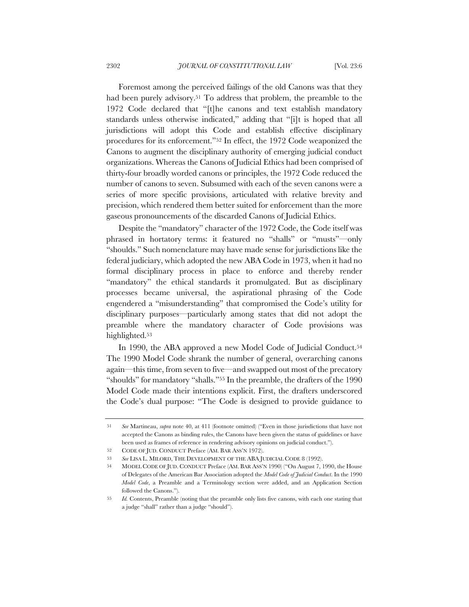Foremost among the perceived failings of the old Canons was that they had been purely advisory.<sup>51</sup> To address that problem, the preamble to the 1972 Code declared that "[t]he canons and text establish mandatory standards unless otherwise indicated," adding that "[i]t is hoped that all jurisdictions will adopt this Code and establish effective disciplinary procedures for its enforcement."52 In effect, the 1972 Code weaponized the Canons to augment the disciplinary authority of emerging judicial conduct organizations. Whereas the Canons of Judicial Ethics had been comprised of thirty-four broadly worded canons or principles, the 1972 Code reduced the number of canons to seven. Subsumed with each of the seven canons were a series of more specific provisions, articulated with relative brevity and precision, which rendered them better suited for enforcement than the more gaseous pronouncements of the discarded Canons of Judicial Ethics.

Despite the "mandatory" character of the 1972 Code, the Code itself was phrased in hortatory terms: it featured no "shalls" or "musts"—only "shoulds." Such nomenclature may have made sense for jurisdictions like the federal judiciary, which adopted the new ABA Code in 1973, when it had no formal disciplinary process in place to enforce and thereby render "mandatory" the ethical standards it promulgated. But as disciplinary processes became universal, the aspirational phrasing of the Code engendered a "misunderstanding" that compromised the Code's utility for disciplinary purposes—particularly among states that did not adopt the preamble where the mandatory character of Code provisions was highlighted.53

In 1990, the ABA approved a new Model Code of Judicial Conduct.<sup>54</sup> The 1990 Model Code shrank the number of general, overarching canons again—this time, from seven to five—and swapped out most of the precatory "shoulds" for mandatory "shalls."55 In the preamble, the drafters of the 1990 Model Code made their intentions explicit. First, the drafters underscored the Code's dual purpose: "The Code is designed to provide guidance to

<sup>51</sup> *See* Martineau, *supra* note 40, at 411 (footnote omitted) ("Even in those jurisdictions that have not accepted the Canons as binding rules, the Canons have been given the status of guidelines or have been used as frames of reference in rendering advisory opinions on judicial conduct.").

<sup>52</sup> CODE OF JUD. CONDUCT Preface (AM. BAR ASS'N 1972).

<sup>53</sup> *See* LISA L. MILORD, THE DEVELOPMENT OF THE ABA JUDICIAL CODE 8 (1992).

<sup>54</sup> MODEL CODE OF JUD. CONDUCT Preface (AM. BAR ASS'N 1990) ("On August 7, 1990, the House of Delegates of the American Bar Association adopted the *Model Code of Judicial Conduct*. In the 1990 *Model Code*, a Preamble and a Terminology section were added, and an Application Section followed the Canons.").

<sup>55</sup> *Id.* Contents, Preamble (noting that the preamble only lists five canons, with each one stating that a judge "shall" rather than a judge "should").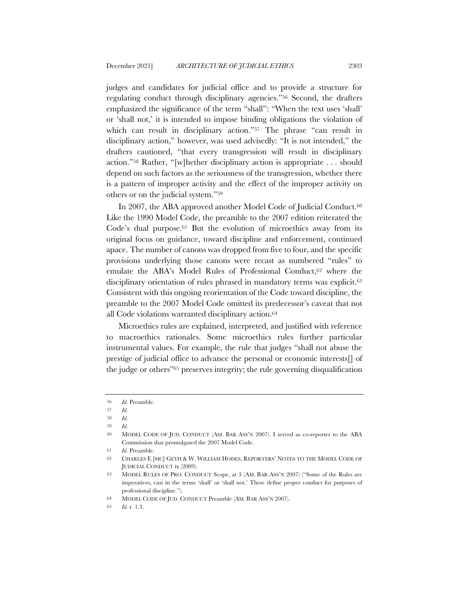judges and candidates for judicial office and to provide a structure for regulating conduct through disciplinary agencies."56 Second, the drafters emphasized the significance of the term "shall": "When the text uses 'shall' or 'shall not,' it is intended to impose binding obligations the violation of which can result in disciplinary action."<sup>57</sup> The phrase "can result in disciplinary action," however, was used advisedly: "It is not intended," the drafters cautioned, "that every transgression will result in disciplinary action."58 Rather, "[w]hether disciplinary action is appropriate . . . should depend on such factors as the seriousness of the transgression, whether there is a pattern of improper activity and the effect of the improper activity on others or on the judicial system."59

In 2007, the ABA approved another Model Code of Judicial Conduct.<sup>60</sup> Like the 1990 Model Code, the preamble to the 2007 edition reiterated the Code's dual purpose.<sup>61</sup> But the evolution of microethics away from its original focus on guidance, toward discipline and enforcement, continued apace. The number of canons was dropped from five to four, and the specific provisions underlying those canons were recast as numbered "rules" to emulate the ABA's Model Rules of Professional Conduct,<sup>62</sup> where the disciplinary orientation of rules phrased in mandatory terms was explicit.<sup>63</sup> Consistent with this ongoing reorientation of the Code toward discipline, the preamble to the 2007 Model Code omitted its predecessor's caveat that not all Code violations warranted disciplinary action.64

Microethics rules are explained, interpreted, and justified with reference to macroethics rationales. Some microethics rules further particular instrumental values. For example, the rule that judges "shall not abuse the prestige of judicial office to advance the personal or economic interests[] of the judge or others"65 preserves integrity; the rule governing disqualification

<sup>56</sup> *Id*. Preamble.

<sup>57</sup> *Id.*

<sup>58</sup> *Id.*

<sup>59</sup> *Id.*

<sup>60</sup> MODEL CODE OF JUD. CONDUCT (AM. BAR ASS'N 2007). I served as co-reporter to the ABA Commission that promulgated the 2007 Model Code.

<sup>61</sup> *Id.* Preamble.

<sup>62</sup> CHARLES E.[SIC] GEYH & W. WILLIAM HODES, REPORTERS' NOTES TO THE MODEL CODE OF JUDICIAL CONDUCT ix (2009).

<sup>63</sup> MODEL RULES OF PRO. CONDUCT Scope, at 3 (AM. BAR ASS'N 2007) ("Some of the Rules are imperatives, cast in the terms 'shall' or 'shall not.' These define proper conduct for purposes of professional discipline.").

<sup>64</sup> MODEL CODE OF JUD. CONDUCT Preamble (AM. BAR ASS'N 2007).

<sup>65</sup> *Id.* r. 1.3.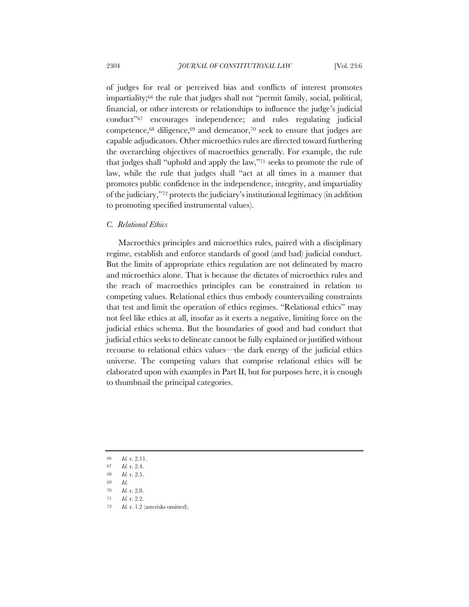of judges for real or perceived bias and conflicts of interest promotes impartiality;66 the rule that judges shall not "permit family, social, political, financial, or other interests or relationships to influence the judge's judicial conduct"67 encourages independence; and rules regulating judicial competence, $68$  diligence, $69$  and demeanor, $70$  seek to ensure that judges are capable adjudicators. Other microethics rules are directed toward furthering the overarching objectives of macroethics generally. For example, the rule that judges shall "uphold and apply the law,"71 seeks to promote the rule of law, while the rule that judges shall "act at all times in a manner that promotes public confidence in the independence, integrity, and impartiality of the judiciary,"72 protects the judiciary's institutional legitimacy (in addition to promoting specified instrumental values).

#### *C. Relational Ethics*

Macroethics principles and microethics rules, paired with a disciplinary regime, establish and enforce standards of good (and bad) judicial conduct. But the limits of appropriate ethics regulation are not delineated by macro and microethics alone. That is because the dictates of microethics rules and the reach of macroethics principles can be constrained in relation to competing values. Relational ethics thus embody countervailing constraints that test and limit the operation of ethics regimes. "Relational ethics" may not feel like ethics at all, insofar as it exerts a negative, limiting force on the judicial ethics schema. But the boundaries of good and bad conduct that judicial ethics seeks to delineate cannot be fully explained or justified without recourse to relational ethics values—the dark energy of the judicial ethics universe. The competing values that comprise relational ethics will be elaborated upon with examples in Part II, but for purposes here, it is enough to thumbnail the principal categories.

- 66 *Id.* r. 2.11.
- 67 *Id.* r. 2.4.
- 68 *Id.* r. 2.5.
- 69 *Id.*
- 70 *Id.* r. 2.8.
- 71 *Id.* r. 2.2.
- 72 *Id.* r. 1.2 (asterisks omitted).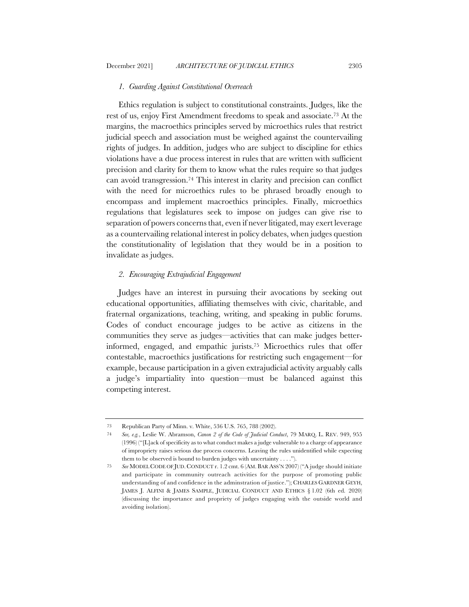### *1. Guarding Against Constitutional Overreach*

Ethics regulation is subject to constitutional constraints. Judges, like the rest of us, enjoy First Amendment freedoms to speak and associate.73 At the margins, the macroethics principles served by microethics rules that restrict judicial speech and association must be weighed against the countervailing rights of judges. In addition, judges who are subject to discipline for ethics violations have a due process interest in rules that are written with sufficient precision and clarity for them to know what the rules require so that judges can avoid transgression.74 This interest in clarity and precision can conflict with the need for microethics rules to be phrased broadly enough to encompass and implement macroethics principles. Finally, microethics regulations that legislatures seek to impose on judges can give rise to separation of powers concerns that, even if never litigated, may exert leverage as a countervailing relational interest in policy debates, when judges question the constitutionality of legislation that they would be in a position to invalidate as judges.

## *2. Encouraging Extrajudicial Engagement*

Judges have an interest in pursuing their avocations by seeking out educational opportunities, affiliating themselves with civic, charitable, and fraternal organizations, teaching, writing, and speaking in public forums. Codes of conduct encourage judges to be active as citizens in the communities they serve as judges—activities that can make judges betterinformed, engaged, and empathic jurists.75 Microethics rules that offer contestable, macroethics justifications for restricting such engagement—for example, because participation in a given extrajudicial activity arguably calls a judge's impartiality into question—must be balanced against this competing interest.

<sup>73</sup> Republican Party of Minn. v. White, 536 U.S. 765, 788 (2002).

<sup>74</sup> *See, e.g.*, Leslie W. Abramson, *Canon 2 of the Code of Judicial Conduct*, 79 MARQ. L. REV. 949, 955 (1996) ("[L]ack of specificity as to what conduct makes a judge vulnerable to a charge of appearance of impropriety raises serious due process concerns. Leaving the rules unidentified while expecting them to be observed is bound to burden judges with uncertainty . . . .").

<sup>75</sup> *See* MODEL CODE OF JUD. CONDUCT r. 1.2 cmt. 6 (AM. BAR ASS'N 2007) ("A judge should initiate and participate in community outreach activities for the purpose of promoting public understanding of and confidence in the adminstration of justice."); CHARLES GARDNER GEYH, JAMES J. ALFINI & JAMES SAMPLE, JUDICIAL CONDUCT AND ETHICS § 1.02 (6th ed. 2020) (discussing the importance and propriety of judges engaging with the outside world and avoiding isolation).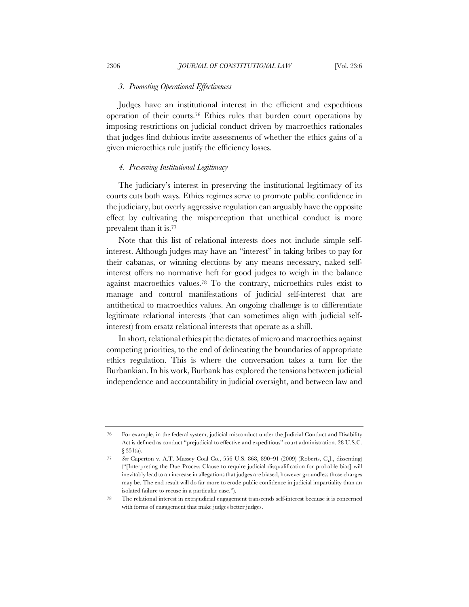#### *3. Promoting Operational Effectiveness*

Judges have an institutional interest in the efficient and expeditious operation of their courts.76 Ethics rules that burden court operations by imposing restrictions on judicial conduct driven by macroethics rationales that judges find dubious invite assessments of whether the ethics gains of a given microethics rule justify the efficiency losses.

#### *4. Preserving Institutional Legitimacy*

The judiciary's interest in preserving the institutional legitimacy of its courts cuts both ways. Ethics regimes serve to promote public confidence in the judiciary, but overly aggressive regulation can arguably have the opposite effect by cultivating the misperception that unethical conduct is more prevalent than it is.77

Note that this list of relational interests does not include simple selfinterest. Although judges may have an "interest" in taking bribes to pay for their cabanas, or winning elections by any means necessary, naked selfinterest offers no normative heft for good judges to weigh in the balance against macroethics values.78 To the contrary, microethics rules exist to manage and control manifestations of judicial self-interest that are antithetical to macroethics values. An ongoing challenge is to differentiate legitimate relational interests (that can sometimes align with judicial selfinterest) from ersatz relational interests that operate as a shill.

In short, relational ethics pit the dictates of micro and macroethics against competing priorities, to the end of delineating the boundaries of appropriate ethics regulation. This is where the conversation takes a turn for the Burbankian. In his work, Burbank has explored the tensions between judicial independence and accountability in judicial oversight, and between law and

<sup>76</sup> For example, in the federal system, judicial misconduct under the Judicial Conduct and Disability Act is defined as conduct "prejudicial to effective and expeditious" court administration. 28 U.S.C. § 351(a).

<sup>77</sup> *See* Caperton v. A.T. Massey Coal Co., 556 U.S. 868, 890–91 (2009) (Roberts, C.J., dissenting) ("[Interpreting the Due Process Clause to require judicial disqualification for probable bias] will inevitably lead to an increase in allegations that judges are biased, however groundless those charges may be. The end result will do far more to erode public confidence in judicial impartiality than an isolated failure to recuse in a particular case.").

<sup>78</sup> The relational interest in extrajudicial engagement transcends self-interest because it is concerned with forms of engagement that make judges better judges.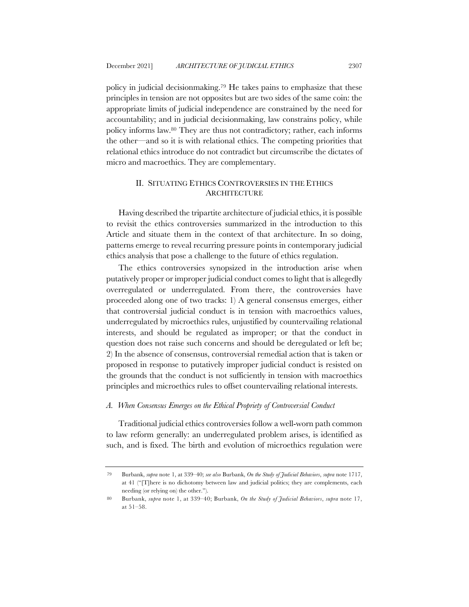policy in judicial decisionmaking.79 He takes pains to emphasize that these principles in tension are not opposites but are two sides of the same coin: the appropriate limits of judicial independence are constrained by the need for accountability; and in judicial decisionmaking, law constrains policy, while policy informs law.80 They are thus not contradictory; rather, each informs

the other—and so it is with relational ethics. The competing priorities that relational ethics introduce do not contradict but circumscribe the dictates of micro and macroethics. They are complementary.

# II. SITUATING ETHICS CONTROVERSIES IN THE ETHICS **ARCHITECTURE**

Having described the tripartite architecture of judicial ethics, it is possible to revisit the ethics controversies summarized in the introduction to this Article and situate them in the context of that architecture. In so doing, patterns emerge to reveal recurring pressure points in contemporary judicial ethics analysis that pose a challenge to the future of ethics regulation.

The ethics controversies synopsized in the introduction arise when putatively proper or improper judicial conduct comes to light that is allegedly overregulated or underregulated. From there, the controversies have proceeded along one of two tracks: 1) A general consensus emerges, either that controversial judicial conduct is in tension with macroethics values, underregulated by microethics rules, unjustified by countervailing relational interests, and should be regulated as improper; or that the conduct in question does not raise such concerns and should be deregulated or left be; 2) In the absence of consensus, controversial remedial action that is taken or proposed in response to putatively improper judicial conduct is resisted on the grounds that the conduct is not sufficiently in tension with macroethics principles and microethics rules to offset countervailing relational interests.

## *A. When Consensus Emerges on the Ethical Propriety of Controversial Conduct*

Traditional judicial ethics controversies follow a well-worn path common to law reform generally: an underregulated problem arises, is identified as such, and is fixed. The birth and evolution of microethics regulation were

<sup>79</sup> Burbank, *supra* note 1, at 339–40; *see also* Burbank, *On the Study of Judicial Behaviors*, *supra* note 1717, at 41 ("[T]here is no dichotomy between law and judicial politics; they are complements, each needing (or relying on) the other.").

<sup>80</sup> Burbank, *supra* note 1, at 339–40; Burbank, *On the Study of Judicial Behaviors*, *supra* note 17, at 51–58.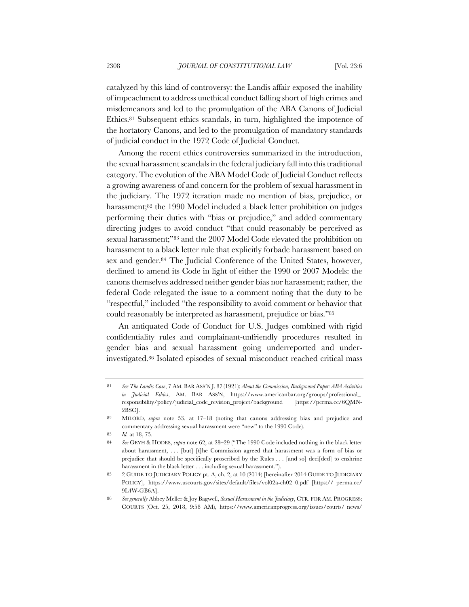catalyzed by this kind of controversy: the Landis affair exposed the inability of impeachment to address unethical conduct falling short of high crimes and misdemeanors and led to the promulgation of the ABA Canons of Judicial Ethics.81 Subsequent ethics scandals, in turn, highlighted the impotence of the hortatory Canons, and led to the promulgation of mandatory standards of judicial conduct in the 1972 Code of Judicial Conduct.

Among the recent ethics controversies summarized in the introduction, the sexual harassment scandals in the federal judiciary fall into this traditional category. The evolution of the ABA Model Code of Judicial Conduct reflects a growing awareness of and concern for the problem of sexual harassment in the judiciary. The 1972 iteration made no mention of bias, prejudice, or harassment;<sup>82</sup> the 1990 Model included a black letter prohibition on judges performing their duties with "bias or prejudice," and added commentary directing judges to avoid conduct "that could reasonably be perceived as sexual harassment;"83 and the 2007 Model Code elevated the prohibition on harassment to a black letter rule that explicitly forbade harassment based on sex and gender.84 The Judicial Conference of the United States, however, declined to amend its Code in light of either the 1990 or 2007 Models: the canons themselves addressed neither gender bias nor harassment; rather, the federal Code relegated the issue to a comment noting that the duty to be "respectful," included "the responsibility to avoid comment or behavior that could reasonably be interpreted as harassment, prejudice or bias."85

An antiquated Code of Conduct for U.S. Judges combined with rigid confidentiality rules and complainant-unfriendly procedures resulted in gender bias and sexual harassment going underreported and underinvestigated.86 Isolated episodes of sexual misconduct reached critical mass

<sup>81</sup> *See The Landis Case*, 7 AM. BAR ASS'N J. 87 (1921); *About the Commission, Background Paper: ABA Activities in Judicial Ethics*, AM. BAR ASS'N, https://www.americanbar.org/groups/professional\_ responsibility/policy/judicial\_code\_revision\_project/background [https://perma.cc/6QMN-2BSC].

<sup>82</sup> MILORD, *supra* note 53, at 17–18 (noting that canons addressing bias and prejudice and commentary addressing sexual harassment were "new" to the 1990 Code).

<sup>83</sup> *Id.* at 18, 75.

<sup>84</sup> *See* GEYH & HODES, *supra* note 62, at 28–29 ("The 1990 Code included nothing in the black letter about harassment, . . . [but] [t]he Commission agreed that harassment was a form of bias or prejudice that should be specifically proscribed by the Rules . . . [and so] deci[ded] to enshrine harassment in the black letter . . . including sexual harassment.").

<sup>85</sup> 2 GUIDE TO JUDICIARY POLICY pt. A, ch. 2, at 10 (2014) [hereinafter 2014 GUIDE TO JUDICIARY POLICY], https://www.uscourts.gov/sites/default/files/vol02a-ch02\_0.pdf [https:// perma.cc/ 9L4W-GB6A].

<sup>86</sup> *See generally* Abbey Meller & Joy Bagwell, *Sexual Harassment in the Judiciary*, CTR. FOR AM. PROGRESS: COURTS (Oct. 25, 2018, 9:58 AM), https://www.americanprogress.org/issues/courts/ news/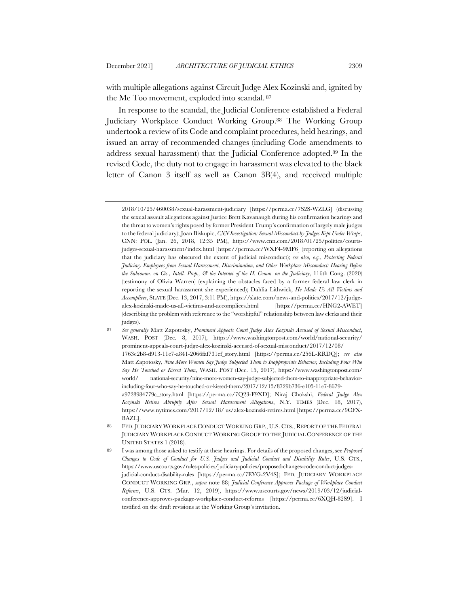with multiple allegations against Circuit Judge Alex Kozinski and, ignited by the Me Too movement, exploded into scandal. <sup>87</sup>

In response to the scandal, the Judicial Conference established a Federal Judiciary Workplace Conduct Working Group.88 The Working Group undertook a review of its Code and complaint procedures, held hearings, and issued an array of recommended changes (including Code amendments to address sexual harassment) that the Judicial Conference adopted.89 In the revised Code, the duty not to engage in harassment was elevated to the black letter of Canon 3 itself as well as Canon 3B(4), and received multiple

<sup>2018/10/25/460038/</sup>sexual-harassment-judiciary [https://perma.cc/7S2S-WZLG] (discussing the sexual assault allegations against Justice Brett Kavanaugh during his confirmation hearings and the threat to women's rights posed by former President Trump's confirmation of largely male judges to the federal judiciary); Joan Biskupic, *CNN Investigation: Sexual Misconduct by Judges Kept Under Wraps*, CNN: POL. (Jan. 26, 2018, 12:35 PM), https://www.cnn.com/2018/01/25/politics/courtsjudges-sexual-harassment/index.html [https://perma.cc/WXF4-9MF6] (reporting on allegations that the judiciary has obscured the extent of judicial misconduct); *see also, e.g.*, *Protecting Federal Judiciary Employees from Sexual Harassment, Discrimination, and Other Workplace Misconduct: Hearing Before the Subcomm. on Cts., Intell. Prop., & the Internet of the H. Comm. on the Judiciary*, 116th Cong. (2020) (testimony of Olivia Warren) (explaining the obstacles faced by a former federal law clerk in reporting the sexual harassment she experienced); Dahlia Lithwick, *He Made Us All Victims and Accomplices*, SLATE (Dec. 13, 2017, 3:11 PM), https://slate.com/news-and-politics/2017/12/judgealex-kozinski-made-us-all-victims-and-accomplices.html [https://perma.cc/HNG2-AWET] (describing the problem with reference to the "worshipful" relationship between law clerks and their judges).

<sup>87</sup> *See generally* Matt Zapotosky, *Prominent Appeals Court Judge Alex Kozinski Accused of Sexual Misconduct*, WASH. POST (Dec. 8, 2017), https://www.washingtonpost.com/world/national-security/ prominent-appeals-court-judge-alex-kozinski-accused-of-sexual-misconduct/2017/12/08/ 1763e2b8-d913-11e7-a841-2066faf731ef\_story.html [https://perma.cc/256L-RRDQ]; *see also*  Matt Zapotosky, *Nine More Women Say Judge Subjected Them to Inappropriate Behavior, Including Four Who Say He Touched or Kissed Them*, WASH. POST (Dec. 15, 2017), https://www.washingtonpost.com/ world/ national-security/nine-more-women-say-judge-subjected-them-to-inappropriate-behaviorincluding-four-who-say-he-touched-or-kissed-them/2017/12/15/8729b736-e105-11e7-8679 a9728984779c\_story.html [https://perma.cc/7Q23-F9XD]; Niraj Chokshi, *Federal Judge Alex Kozinski Retires Abruptly After Sexual Harassment Allegations*, N.Y. TIMES (Dec. 18, 2017), https://www.nytimes.com/2017/12/18/ us/alex-kozinski-retires.html [https://perma.cc/9CFX-BAZL].

<sup>88</sup> FED. JUDICIARY WORKPLACE CONDUCT WORKING GRP., U.S. CTS., REPORT OF THE FEDERAL JUDICIARY WORKPLACE CONDUCT WORKING GROUP TO THE JUDICIAL CONFERENCE OF THE UNITED STATES 1 (2018).

<sup>89</sup> I was among those asked to testify at these hearings. For details of the proposed changes, see *Proposed Changes to Code of Conduct for U.S. Judges and Judicial Conduct and Disability Rules*, U.S. CTS., https://www.uscourts.gov/rules-policies/judiciary-policies/proposed-changes-code-conduct-judgesjudicial-conduct-disability-rules [https://perma.cc/7EYG-2V4S]; FED. JUDICIARY WORKPLACE CONDUCT WORKING GRP., *supra* note 88; *Judicial Conference Approves Package of Workplace Conduct Reforms*, U.S. CTS. (Mar. 12, 2019), https://www.uscourts.gov/news/2019/03/12/judicialconference-approves-package-workplace-conduct-reforms [https://perma.cc/6XQH-82S9]. I testified on the draft revisions at the Working Group's invitation.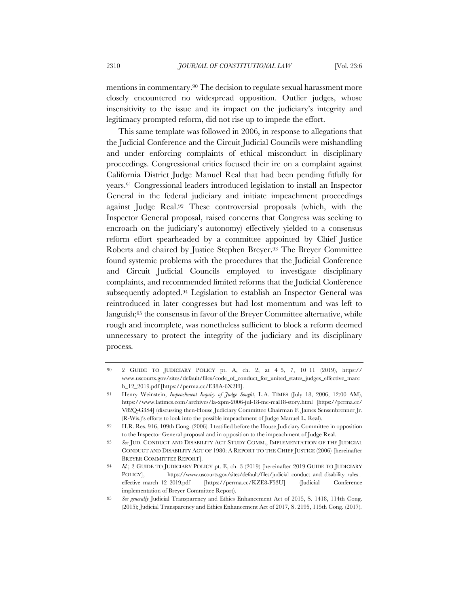mentions in commentary.90 The decision to regulate sexual harassment more closely encountered no widespread opposition. Outlier judges, whose insensitivity to the issue and its impact on the judiciary's integrity and legitimacy prompted reform, did not rise up to impede the effort.

This same template was followed in 2006, in response to allegations that the Judicial Conference and the Circuit Judicial Councils were mishandling and under enforcing complaints of ethical misconduct in disciplinary proceedings. Congressional critics focused their ire on a complaint against California District Judge Manuel Real that had been pending fitfully for years.91 Congressional leaders introduced legislation to install an Inspector General in the federal judiciary and initiate impeachment proceedings against Judge Real.92 These controversial proposals (which, with the Inspector General proposal, raised concerns that Congress was seeking to encroach on the judiciary's autonomy) effectively yielded to a consensus reform effort spearheaded by a committee appointed by Chief Justice Roberts and chaired by Justice Stephen Breyer.93 The Breyer Committee found systemic problems with the procedures that the Judicial Conference and Circuit Judicial Councils employed to investigate disciplinary complaints, and recommended limited reforms that the Judicial Conference subsequently adopted.94 Legislation to establish an Inspector General was reintroduced in later congresses but had lost momentum and was left to languish;95 the consensus in favor of the Breyer Committee alternative, while rough and incomplete, was nonetheless sufficient to block a reform deemed unnecessary to protect the integrity of the judiciary and its disciplinary process.

<sup>90</sup> 2 GUIDE TO JUDICIARY POLICY pt. A, ch. 2, at 4–5, 7, 10–11 (2019), https:// www.uscourts.gov/sites/default/files/code\_of\_conduct\_for\_united\_states\_judges\_effective\_marc h\_12\_2019.pdf [https://perma.cc/E38A-6X2H].

<sup>91</sup> Henry Weinstein, *Impeachment Inquiry of Judge Sought*, L.A. TIMES (July 18, 2006, 12:00 AM), https://www.latimes.com/archives/la-xpm-2006-jul-18-me-real18-story.html [https://perma.cc/ V82Q-G3S4] (discussing then-House Judiciary Committee Chairman F. James Sensenbrenner Jr. (R-Wis.)'s efforts to look into the possible impeachment of Judge Manuel L. Real).

<sup>92</sup> H.R. Res. 916, 109th Cong. (2006). I testified before the House Judiciary Committee in opposition to the Inspector General proposal and in opposition to the impeachment of Judge Real.

<sup>93</sup> *See* JUD. CONDUCT AND DISABILITY ACT STUDY COMM., IMPLEMENTATION OF THE JUDICIAL CONDUCT AND DISABILITY ACT OF 1980: A REPORT TO THE CHIEF JUSTICE (2006) [hereinafter BREYER COMMITTEE REPORT].

<sup>94</sup> *Id.*; 2 GUIDE TO JUDICIARY POLICY pt. E, ch. 3 (2019) [hereinafter 2019 GUIDE TO JUDICIARY POLICY], https://www.uscourts.gov/sites/default/files/judicial\_conduct\_and\_disability\_rules\_ effective\_march\_12\_2019.pdf [https://perma.cc/KZE8-F53U] (Judicial Conference implementation of Breyer Committee Report).

<sup>95</sup> *See generally* Judicial Transparency and Ethics Enhancement Act of 2015, S. 1418, 114th Cong. (2015); Judicial Transparency and Ethics Enhancement Act of 2017, S. 2195, 115th Cong. (2017).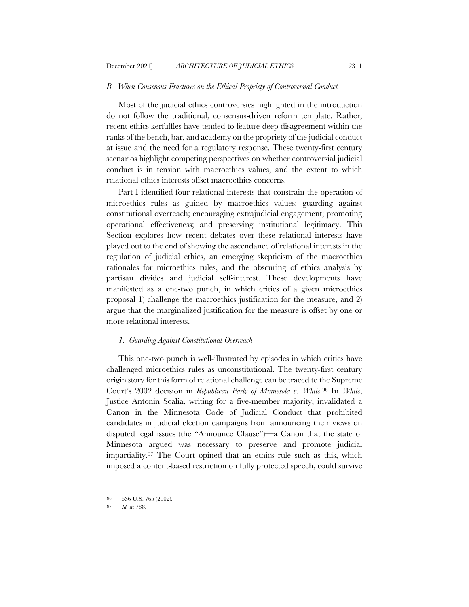# *B. When Consensus Fractures on the Ethical Propriety of Controversial Conduct*

Most of the judicial ethics controversies highlighted in the introduction do not follow the traditional, consensus-driven reform template. Rather, recent ethics kerfuffles have tended to feature deep disagreement within the ranks of the bench, bar, and academy on the propriety of the judicial conduct at issue and the need for a regulatory response. These twenty-first century scenarios highlight competing perspectives on whether controversial judicial conduct is in tension with macroethics values, and the extent to which relational ethics interests offset macroethics concerns.

Part I identified four relational interests that constrain the operation of microethics rules as guided by macroethics values: guarding against constitutional overreach; encouraging extrajudicial engagement; promoting operational effectiveness; and preserving institutional legitimacy. This Section explores how recent debates over these relational interests have played out to the end of showing the ascendance of relational interests in the regulation of judicial ethics, an emerging skepticism of the macroethics rationales for microethics rules, and the obscuring of ethics analysis by partisan divides and judicial self-interest. These developments have manifested as a one-two punch, in which critics of a given microethics proposal 1) challenge the macroethics justification for the measure, and 2) argue that the marginalized justification for the measure is offset by one or more relational interests.

#### *1. Guarding Against Constitutional Overreach*

This one-two punch is well-illustrated by episodes in which critics have challenged microethics rules as unconstitutional. The twenty-first century origin story for this form of relational challenge can be traced to the Supreme Court's 2002 decision in *Republican Party of Minnesota v. White*.96 In *White*, Justice Antonin Scalia, writing for a five-member majority, invalidated a Canon in the Minnesota Code of Judicial Conduct that prohibited candidates in judicial election campaigns from announcing their views on disputed legal issues (the "Announce Clause")—a Canon that the state of Minnesota argued was necessary to preserve and promote judicial impartiality.97 The Court opined that an ethics rule such as this, which imposed a content-based restriction on fully protected speech, could survive

<sup>96</sup> 536 U.S. 765 (2002).

<sup>97</sup> *Id.* at 788.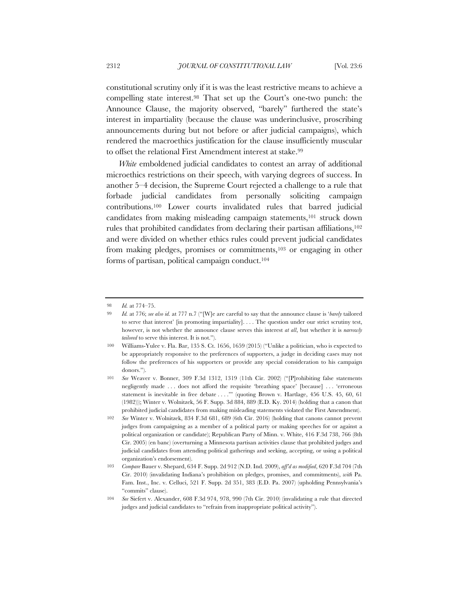constitutional scrutiny only if it is was the least restrictive means to achieve a compelling state interest.98 That set up the Court's one-two punch: the Announce Clause, the majority observed, "barely" furthered the state's interest in impartiality (because the clause was underinclusive, proscribing announcements during but not before or after judicial campaigns), which rendered the macroethics justification for the clause insufficiently muscular to offset the relational First Amendment interest at stake.<sup>99</sup>

*White* emboldened judicial candidates to contest an array of additional microethics restrictions on their speech, with varying degrees of success. In another 5–4 decision, the Supreme Court rejected a challenge to a rule that forbade judicial candidates from personally soliciting campaign contributions.100 Lower courts invalidated rules that barred judicial candidates from making misleading campaign statements,<sup>101</sup> struck down rules that prohibited candidates from declaring their partisan affiliations,102 and were divided on whether ethics rules could prevent judicial candidates from making pledges, promises or commitments,103 or engaging in other forms of partisan, political campaign conduct.104

<sup>98</sup> *Id.* at 774–75.

<sup>99</sup> *Id.* at 776; *see also id.* at 777 n.7 ("[W]e are careful to say that the announce clause is '*barely* tailored to serve that interest' [in promoting impartiality]. . . . The question under our strict scrutiny test, however, is not whether the announce clause serves this interest *at all*, but whether it is *narrowly tailored* to serve this interest. It is not.").

<sup>100</sup> Williams-Yulee v. Fla. Bar, 135 S. Ct. 1656, 1659 (2015) ("Unlike a politician, who is expected to be appropriately responsive to the preferences of supporters, a judge in deciding cases may not follow the preferences of his supporters or provide any special consideration to his campaign donors.").

<sup>101</sup> *See* Weaver v. Bonner, 309 F.3d 1312, 1319 (11th Cir. 2002) ("[P]rohibiting false statements negligently made . . . does not afford the requisite 'breathing space' [because] . . . 'erroneous statement is inevitable in free debate . . . .'" (quoting Brown v. Hartlage, 456 U.S. 45, 60, 61 (1982))); Winter v. Wolnitzek, 56 F. Supp. 3d 884, 889 (E.D. Ky. 2014) (holding that a canon that prohibited judicial candidates from making misleading statements violated the First Amendment).

<sup>102</sup> *See* Winter v. Wolnitzek, 834 F.3d 681, 689 (6th Cir. 2016) (holding that canons cannot prevent judges from campaigning as a member of a political party or making speeches for or against a political organization or candidate); Republican Party of Minn. v. White, 416 F.3d 738, 766 (8th Cir. 2005) (en banc) (overturning a Minnesota partisan activities clause that prohibited judges and judicial candidates from attending political gatherings and seeking, accepting, or using a political organization's endorsement).

<sup>103</sup> *Compare* Bauer v. Shepard, 634 F. Supp. 2d 912 (N.D. Ind. 2009), *aff'd as modified*, 620 F.3d 704 (7th Cir. 2010) (invalidating Indiana's prohibition on pledges, promises, and commitments), *with* Pa. Fam. Inst., Inc. v. Celluci, 521 F. Supp. 2d 351, 383 (E.D. Pa. 2007) (upholding Pennsylvania's "commits" clause).

<sup>104</sup> *See* Siefert v. Alexander, 608 F.3d 974, 978, 990 (7th Cir. 2010) (invalidating a rule that directed judges and judicial candidates to "refrain from inappropriate political activity").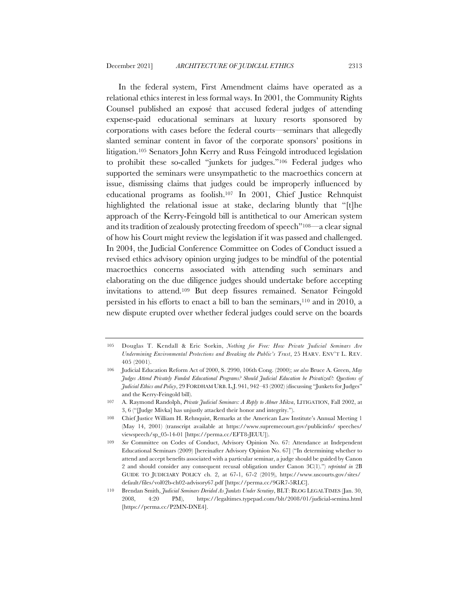In the federal system, First Amendment claims have operated as a relational ethics interest in less formal ways. In 2001, the Community Rights Counsel published an exposé that accused federal judges of attending expense-paid educational seminars at luxury resorts sponsored by corporations with cases before the federal courts—seminars that allegedly slanted seminar content in favor of the corporate sponsors' positions in litigation.105 Senators John Kerry and Russ Feingold introduced legislation to prohibit these so-called "junkets for judges."106 Federal judges who supported the seminars were unsympathetic to the macroethics concern at issue, dismissing claims that judges could be improperly influenced by educational programs as foolish.107 In 2001, Chief Justice Rehnquist highlighted the relational issue at stake, declaring bluntly that "[t]he approach of the Kerry-Feingold bill is antithetical to our American system and its tradition of zealously protecting freedom of speech"108—a clear signal of how his Court might review the legislation if it was passed and challenged. In 2004, the Judicial Conference Committee on Codes of Conduct issued a revised ethics advisory opinion urging judges to be mindful of the potential macroethics concerns associated with attending such seminars and elaborating on the due diligence judges should undertake before accepting invitations to attend.109 But deep fissures remained. Senator Feingold persisted in his efforts to enact a bill to ban the seminars,110 and in 2010, a new dispute erupted over whether federal judges could serve on the boards

<sup>105</sup> Douglas T. Kendall & Eric Sorkin, *Nothing for Free: How Private Judicial Seminars Are Undermining Environmental Protections and Breaking the Public's Trust*, 25 HARV. ENV'T L. REV. 405 (2001).

<sup>106</sup> Judicial Education Reform Act of 2000, S. 2990, 106th Cong. (2000); *see also* Bruce A. Green, *May Judges Attend Privately Funded Educational Programs? Should Judicial Education be Privatized?: Questions of Judicial Ethics and Policy*, 29 FORDHAM URB. L.J. 941, 942–43 (2002) (discussing "Junkets for Judges" and the Kerry-Feingold bill).

<sup>107</sup> A. Raymond Randolph, *Private Judicial Seminars: A Reply to Abner Mikva*, LITIGATION, Fall 2002, at 3, 6 ("[Judge Mivka] has unjustly attacked their honor and integrity.").

<sup>108</sup> Chief Justice William H. Rehnquist, Remarks at the American Law Institute's Annual Meeting 1 (May 14, 2001) (transcript available at https://www.supremecourt.gov/publicinfo/ speeches/ viewspeech/sp\_05-14-01 [https://perma.cc/EFT8-JEUU]).

<sup>109</sup> *See* Committee on Codes of Conduct, Advisory Opinion No. 67: Attendance at Independent Educational Seminars (2009) [hereinafter Advisory Opinion No. 67] ("In determining whether to attend and accept benefits associated with a particular seminar, a judge should be guided by Canon 2 and should consider any consequent recusal obligation under Canon 3C(1).") *reprinted in* 2B GUIDE TO JUDICIARY POLICY ch. 2, at 67-1, 67-2 (2019), https://www.uscourts.gov/sites/ default/files/vol02b-ch02-advisory67.pdf [https://perma.cc/9GR7-5RLC].

<sup>110</sup> Brendan Smith, *Judicial Seminars Derided As Junkets Under Scrutiny*, BLT: BLOG LEGALTIMES (Jan. 30, 2008, 4:20 PM), https://legaltimes.typepad.com/blt/2008/01/judicial-semina.html [https://perma.cc/P2MN-DNE4].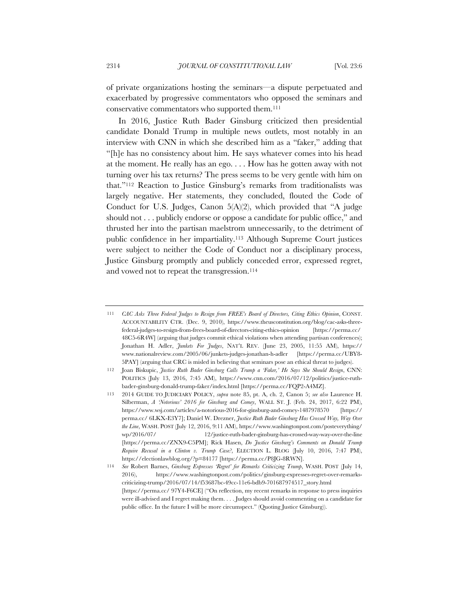of private organizations hosting the seminars—a dispute perpetuated and exacerbated by progressive commentators who opposed the seminars and conservative commentators who supported them.111

In 2016, Justice Ruth Bader Ginsburg criticized then presidential candidate Donald Trump in multiple news outlets, most notably in an interview with CNN in which she described him as a "faker," adding that "[h]e has no consistency about him. He says whatever comes into his head at the moment. He really has an ego. . . . How has he gotten away with not turning over his tax returns? The press seems to be very gentle with him on that."112 Reaction to Justice Ginsburg's remarks from traditionalists was largely negative. Her statements, they concluded, flouted the Code of Conduct for U.S. Judges, Canon 5(A)(2), which provided that "A judge should not . . . publicly endorse or oppose a candidate for public office," and thrusted her into the partisan maelstrom unnecessarily, to the detriment of public confidence in her impartiality.113 Although Supreme Court justices were subject to neither the Code of Conduct nor a disciplinary process, Justice Ginsburg promptly and publicly conceded error, expressed regret, and vowed not to repeat the transgression.<sup>114</sup>

<sup>111</sup> *CAC Asks Three Federal Judges to Resign from FREE's Board of Directors, Citing Ethics Opinion*, CONST. ACCOUNTABILITY CTR. (Dec. 9, 2010), https://www.theusconstitution.org/blog/cac-asks-threefederal-judges-to-resign-from-frees-board-of-directors-citing-ethics-opinion [https://perma.cc/ 48C5-6R4W] (arguing that judges commit ethical violations when attending partisan conferences); Jonathan H. Adler, *Junkets For Judges*, NAT'L REV. (June 23, 2005, 11:55 AM), https:// www.nationalreview.com/2005/06/junkets-judges-jonathan-h-adler [https://perma.cc/UBY8- 5PAY] (arguing that CRC is misled in believing that seminars pose an ethical threat to judges).

<sup>112</sup> Joan Biskupic, *Justice Ruth Bader Ginsburg Calls Trump a 'Faker,' He Says She Should Resign*, CNN: POLITICS (July 13, 2016, 7:45 AM), https://www.cnn.com/2016/07/12/politics/justice-ruthbader-ginsburg-donald-trump-faker/index.html [https://perma.cc/FQP2-A4MZ].

<sup>113</sup> 2014 GUIDE TO JUDICIARY POLICY, *supra* note 85, pt. A, ch. 2, Canon 5; *see also* Laurence H. Silberman, *A 'Notorious' 2016 for Ginsburg and Comey*, WALL ST. J. (Feb. 24, 2017, 6:22 PM), https://www.wsj.com/articles/a-notorious-2016-for-ginsburg-and-comey-1487978570 [https:// perma.cc/ 6LKX-E3Y7]; Daniel W. Drezner, *Justice Ruth Bader Ginsburg Has Crossed Way, Way Over the Line*, WASH. POST (July 12, 2016, 9:11 AM), https://www.washingtonpost.com/posteverything/ wp/2016/07/ 12/justice-ruth-bader-ginsburg-has-crossed-way-way-over-the-line [https://perma.cc/ZNX9-C5PM]; Rick Hasen, *Do Justice Ginsburg's Comments on Donald Trump Require Recusal in a Clinton v. Trump Case?*, ELECTION L. BLOG (July 10, 2016, 7:47 PM), https://electionlawblog.org/?p=84177 [https://perma.cc/P8JG-8RWN].

<sup>114</sup> *See* Robert Barnes, *Ginsburg Expresses 'Regret' for Remarks Criticizing Trump*, WASH. POST (July 14, 2016), https://www.washingtonpost.com/politics/ginsburg-expresses-regret-over-remarkscriticizing-trump/2016/07/14/f53687bc-49cc-11e6-bdb9-701687974517\_story.html [https://perma.cc/ 97Y4-F6CE] ("On reflection, my recent remarks in response to press inquiries were ill-advised and I regret making them. . . . Judges should avoid commenting on a candidate for public office. In the future I will be more circumspect." (Quoting Justice Ginsburg)).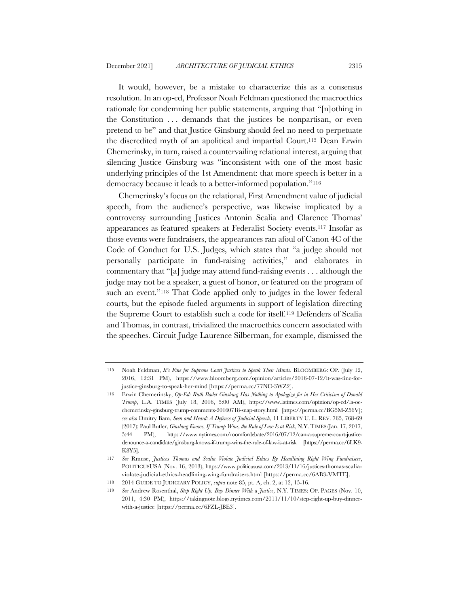It would, however, be a mistake to characterize this as a consensus resolution. In an op-ed, Professor Noah Feldman questioned the macroethics rationale for condemning her public statements, arguing that "[n]othing in the Constitution . . . demands that the justices be nonpartisan, or even pretend to be" and that Justice Ginsburg should feel no need to perpetuate the discredited myth of an apolitical and impartial Court.115 Dean Erwin Chemerinsky, in turn, raised a countervailing relational interest, arguing that silencing Justice Ginsburg was "inconsistent with one of the most basic underlying principles of the 1st Amendment: that more speech is better in a democracy because it leads to a better-informed population."116

Chemerinsky's focus on the relational, First Amendment value of judicial speech, from the audience's perspective, was likewise implicated by a controversy surrounding Justices Antonin Scalia and Clarence Thomas' appearances as featured speakers at Federalist Society events.117 Insofar as those events were fundraisers, the appearances ran afoul of Canon 4C of the Code of Conduct for U.S. Judges, which states that "a judge should not personally participate in fund-raising activities," and elaborates in commentary that "[a] judge may attend fund-raising events . . . although the judge may not be a speaker, a guest of honor, or featured on the program of such an event."<sup>118</sup> That Code applied only to judges in the lower federal courts, but the episode fueled arguments in support of legislation directing the Supreme Court to establish such a code for itself.119 Defenders of Scalia and Thomas, in contrast, trivialized the macroethics concern associated with the speeches. Circuit Judge Laurence Silberman, for example, dismissed the

<sup>115</sup> Noah Feldman, *It's Fine for Supreme Court Justices to Speak Their Minds*, BLOOMBERG: OP. (July 12, 2016, 12:31 PM), https://www.bloomberg.com/opinion/articles/2016-07-12/it-was-fine-forjustice-ginsburg-to-speak-her-mind [https://perma.cc/77NC-3WZ2].

<sup>116</sup> Erwin Chemerinsky, *Op-Ed: Ruth Bader Ginsburg Has Nothing to Apologize for in Her Criticism of Donald Trump*, L.A. TIMES (July 18, 2016, 5:00 AM), https://www.latimes.com/opinion/op-ed/la-oechemerinsky-ginsburg-trump-comments-20160718-snap-story.html [https://perma.cc/BG5M-Z56V]; *see also* Dmitry Bam, *Seen and Heard: A Defense of Judicial Speech*, 11 LIBERTY U. L. REV. 765, 768-69 (2017); Paul Butler, *Ginsburg Knows, If Trump Wins, the Rule of Law Is at Risk*, N.Y.TIMES (Jan. 17, 2017, 5:44 PM), https://www.nytimes.com/roomfordebate/2016/07/12/can-a-supreme-court-justicedenounce-a-candidate/ginsburg-knows-if-trump-wins-the-rule-of-law-is-at-risk [https://perma.cc/6LK9- K8Y5].

<sup>117</sup> *See* Rmuse, *Justices Thomas and Scalia Violate Judicial Ethics By Headlining Right Wing Fundraisers*, POLITICUSUSA (Nov. 16, 2013), https://www.politicususa.com/2013/11/16/justices-thomas-scaliaviolate-judicial-ethics-headlining-wing-fundraisers.html [https://perma.cc/6AB3-VMTE].

<sup>118</sup> 2014 GUIDE TO JUDICIARY POLICY, *supra* note 85, pt. A, ch. 2, at 12, 15-16.

<sup>119</sup> *See* Andrew Rosenthal, *Step Right Up. Buy Dinner With a Justice*, N.Y. TIMES: OP. PAGES (Nov. 10, 2011, 4:30 PM), https://takingnote.blogs.nytimes.com/2011/11/10/step-right-up-buy-dinnerwith-a-justice [https://perma.cc/6FZL-JBE3].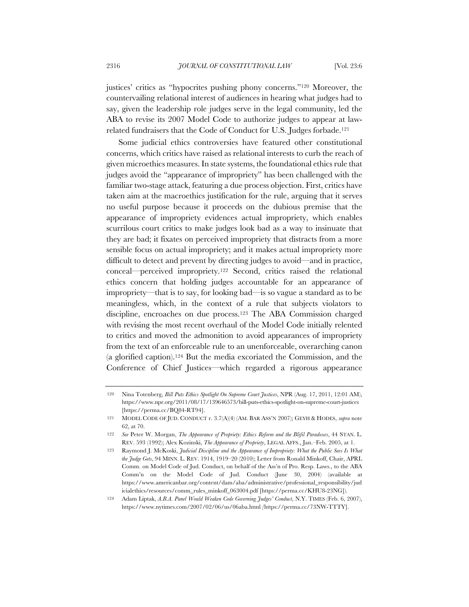justices' critics as "hypocrites pushing phony concerns."120 Moreover, the countervailing relational interest of audiences in hearing what judges had to say, given the leadership role judges serve in the legal community, led the ABA to revise its 2007 Model Code to authorize judges to appear at lawrelated fundraisers that the Code of Conduct for U.S. Judges forbade.121

Some judicial ethics controversies have featured other constitutional concerns, which critics have raised as relational interests to curb the reach of given microethics measures. In state systems, the foundational ethics rule that judges avoid the "appearance of impropriety" has been challenged with the familiar two-stage attack, featuring a due process objection. First, critics have taken aim at the macroethics justification for the rule, arguing that it serves no useful purpose because it proceeds on the dubious premise that the appearance of impropriety evidences actual impropriety, which enables scurrilous court critics to make judges look bad as a way to insinuate that they are bad; it fixates on perceived impropriety that distracts from a more sensible focus on actual impropriety; and it makes actual impropriety more difficult to detect and prevent by directing judges to avoid—and in practice, conceal—perceived impropriety.122 Second, critics raised the relational ethics concern that holding judges accountable for an appearance of impropriety—that is to say, for looking bad—is so vague a standard as to be meaningless, which, in the context of a rule that subjects violators to discipline, encroaches on due process.123 The ABA Commission charged with revising the most recent overhaul of the Model Code initially relented to critics and moved the admonition to avoid appearances of impropriety from the text of an enforceable rule to an unenforceable, overarching canon (a glorified caption).124 But the media excoriated the Commission, and the Conference of Chief Justices—which regarded a rigorous appearance

<sup>120</sup> Nina Totenberg, *Bill Puts Ethics Spotlight On Supreme Court Justices*, NPR (Aug. 17, 2011, 12:01 AM), https://www.npr.org/2011/08/17/139646573/bill-puts-ethics-spotlight-on-supreme-court-justices [https://perma.cc/BQ84-RT94].

<sup>121</sup> MODEL CODE OF JUD. CONDUCT r. 3.7(A)(4) (AM. BAR ASS'N 2007); GEYH & HODES, *supra* note 62, at 70.

<sup>122</sup> *See* Peter W. Morgan, *The Appearance of Propriety: Ethics Reform and the Blifil Paradoxes*, 44 STAN. L. REV. 593 (1992); Alex Kozinski, *The Appearance of Propriety*, LEGAL AFFS., Jan.–Feb. 2005, at 1.

<sup>123</sup> Raymond J. McKoski, *Judicial Discipline and the Appearance of Impropriety: What the Public Sees Is What the Judge Gets*, 94 MINN. L. REV. 1914, 1919–20 (2010); Letter from Ronald Minkoff, Chair, APRL Comm. on Model Code of Jud. Conduct, on behalf of the Ass'n of Pro. Resp. Laws., to the ABA Comm'n on the Model Code of Jud. Conduct (June 30, 2004) (available at https://www.americanbar.org/content/dam/aba/administrative/professional\_responsibility/jud icialethics/resources/comm\_rules\_minkoff\_063004.pdf [https://perma.cc/KHU8-23NG]).

<sup>124</sup> Adam Liptak, *A.B.A. Panel Would Weaken Code Governing Judges' Conduct*, N.Y. TIMES (Feb. 6, 2007), https://www.nytimes.com/2007/02/06/us/06aba.html *[*https://perma.cc/73NW-TTTY].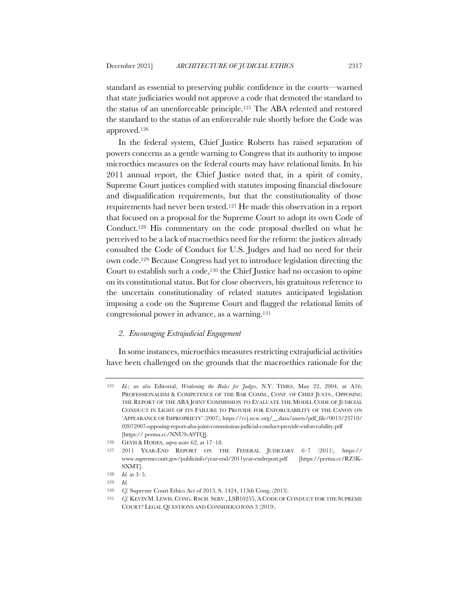standard as essential to preserving public confidence in the courts—warned that state judiciaries would not approve a code that demoted the standard to the status of an unenforceable principle.125 The ABA relented and restored the standard to the status of an enforceable rule shortly before the Code was approved.126

In the federal system, Chief Justice Roberts has raised separation of powers concerns as a gentle warning to Congress that its authority to impose microethics measures on the federal courts may have relational limits. In his 2011 annual report, the Chief Justice noted that, in a spirit of comity, Supreme Court justices complied with statutes imposing financial disclosure and disqualification requirements, but that the constitutionality of those requirements had never been tested.127 He made this observation in a report that focused on a proposal for the Supreme Court to adopt its own Code of Conduct.128 His commentary on the code proposal dwelled on what he perceived to be a lack of macroethics need for the reform: the justices already consulted the Code of Conduct for U.S. Judges and had no need for their own code.129 Because Congress had yet to introduce legislation directing the Court to establish such a code,130 the Chief Justice had no occasion to opine on its constitutional status. But for close observers, his gratuitous reference to the uncertain constitutionality of related statutes anticipated legislation imposing a code on the Supreme Court and flagged the relational limits of congressional power in advance, as a warning.131

## *2. Encouraging Extrajudicial Engagement*

In some instances, microethics measures restricting extrajudicial activities have been challenged on the grounds that the macroethics rationale for the

<sup>125</sup> *Id.*; *see also* Editorial, *Weakening the Rules for Judges*, N.Y. TIMES, May 22, 2004, at A16; PROFESSIONALISM & COMPETENCE OF THE BAR COMM., CONF. OF CHIEF JUSTS., OPPOSING THE REPORT OF THE ABA JOINT COMMISSION TO EVALUATE THE MODEL CODE OF JUDICIAL CONDUCT IN LIGHT OF ITS FAILURE TO PROVIDE FOR ENFORCEABILITY OF THE CANON ON 'APPEARANCE OF IMPROPRIETY' (2007), https://ccj.ncsc.org/\_\_data/assets/pdf\_file/0013/23710/ 02072007-opposing-report-aba-joint-commission-judicial-conduct-provide-enforceability.pdf [https:// perma.cc/NNU9-A9TQ].

<sup>126</sup> GEYH & HODES, *supra* note 62, at 17–18.

<sup>127</sup> 2011 YEAR-END REPORT ON THE FEDERAL JUDICIARY 6–7 (2011), https:// www.supremecourt.gov/publicinfo/year-end/2011year-endreport.pdf [https://perma.cc/RZ3K-SXMT].

<sup>128</sup> *Id.* at 3–5.

<sup>129</sup> *Id.*

<sup>130</sup> *Cf.* Supreme Court Ethics Act of 2013, S. 1424, 113th Cong. (2013).

<sup>131</sup> *Cf.* KEVIN M. LEWIS, CONG. RSCH. SERV., LSB10255, A CODE OF CONDUCT FOR THE SUPREME COURT? LEGAL QUESTIONS AND CONSIDERATIONS 3 (2019).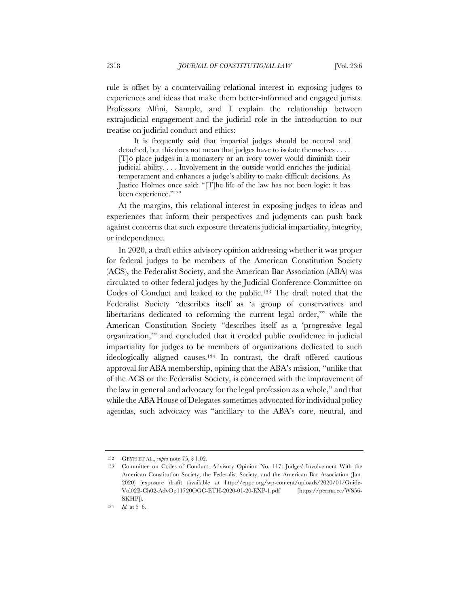rule is offset by a countervailing relational interest in exposing judges to experiences and ideas that make them better-informed and engaged jurists. Professors Alfini, Sample, and I explain the relationship between extrajudicial engagement and the judicial role in the introduction to our treatise on judicial conduct and ethics:

It is frequently said that impartial judges should be neutral and detached, but this does not mean that judges have to isolate themselves . . . . [T]o place judges in a monastery or an ivory tower would diminish their judicial ability. . . . Involvement in the outside world enriches the judicial temperament and enhances a judge's ability to make difficult decisions. As Justice Holmes once said: "[T]he life of the law has not been logic: it has been experience."132

At the margins, this relational interest in exposing judges to ideas and experiences that inform their perspectives and judgments can push back against concerns that such exposure threatens judicial impartiality, integrity, or independence.

In 2020, a draft ethics advisory opinion addressing whether it was proper for federal judges to be members of the American Constitution Society (ACS), the Federalist Society, and the American Bar Association (ABA) was circulated to other federal judges by the Judicial Conference Committee on Codes of Conduct and leaked to the public.133 The draft noted that the Federalist Society "describes itself as 'a group of conservatives and libertarians dedicated to reforming the current legal order,'" while the American Constitution Society "describes itself as a 'progressive legal organization,'" and concluded that it eroded public confidence in judicial impartiality for judges to be members of organizations dedicated to such ideologically aligned causes.134 In contrast, the draft offered cautious approval for ABA membership, opining that the ABA's mission, "unlike that of the ACS or the Federalist Society, is concerned with the improvement of the law in general and advocacy for the legal profession as a whole," and that while the ABA House of Delegates sometimes advocated for individual policy agendas, such advocacy was "ancillary to the ABA's core, neutral, and

<sup>132</sup> GEYH ET AL., *supra* note 75, § 1.02.

<sup>133</sup> Committee on Codes of Conduct, Advisory Opinion No. 117: Judges' Involvement With the American Constitution Society, the Federalist Society, and the American Bar Association (Jan. 2020) (exposure draft) (available at http://eppc.org/wp-content/uploads/2020/01/Guide-Vol02B-Ch02-AdvOp11720OGC-ETH-2020-01-20-EXP-1.pdf [https://perma.cc/WS56- SKHP]).

<sup>134</sup> *Id.* at 5–6.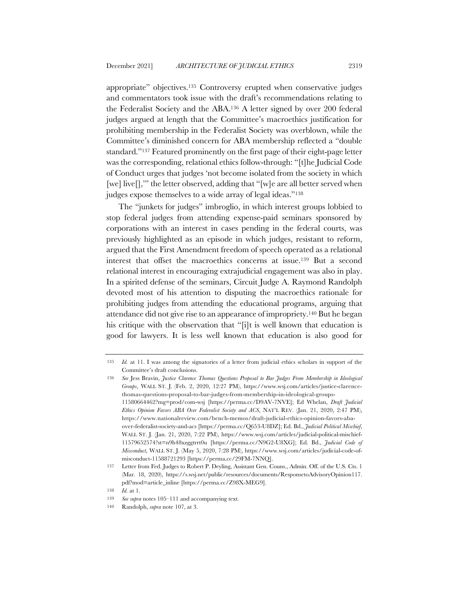appropriate" objectives.135 Controversy erupted when conservative judges and commentators took issue with the draft's recommendations relating to the Federalist Society and the ABA.136 A letter signed by over 200 federal judges argued at length that the Committee's macroethics justification for prohibiting membership in the Federalist Society was overblown, while the Committee's diminished concern for ABA membership reflected a "double standard."137 Featured prominently on the first page of their eight-page letter was the corresponding, relational ethics follow-through: "[t]he Judicial Code of Conduct urges that judges 'not become isolated from the society in which [we] live]]," the letter observed, adding that "[w]e are all better served when judges expose themselves to a wide array of legal ideas."138

The "junkets for judges" imbroglio, in which interest groups lobbied to stop federal judges from attending expense-paid seminars sponsored by corporations with an interest in cases pending in the federal courts, was previously highlighted as an episode in which judges, resistant to reform, argued that the First Amendment freedom of speech operated as a relational interest that offset the macroethics concerns at issue.139 But a second relational interest in encouraging extrajudicial engagement was also in play. In a spirited defense of the seminars, Circuit Judge A. Raymond Randolph devoted most of his attention to disputing the macroethics rationale for prohibiting judges from attending the educational programs, arguing that attendance did not give rise to an appearance of impropriety.140 But he began his critique with the observation that "[i]t is well known that education is good for lawyers. It is less well known that education is also good for

<sup>135</sup> *Id.* at 11. I was among the signatories of a letter from judicial ethics scholars in support of the Committee's draft conclusions.

<sup>136</sup> *See* Jess Bravin, *Justice Clarence Thomas Questions Proposal to Bar Judges From Membership in Ideological Groups*, WALL ST. J. (Feb. 2, 2020, 12:27 PM), https://www.wsj.com/articles/justice-clarencethomas-questions-proposal-to-bar-judges-from-membership-in-ideological-groups-11580664462?mg=prod/com-wsj [https://perma.cc/D9AV-7NVE]; Ed Whelan, *Draft Judicial Ethics Opinion Favors ABA Over Federalist Society and ACS*, NAT'L REV. (Jan. 21, 2020, 2:47 PM), https://www.nationalreview.com/bench-memos/draft-judicial-ethics-opinion-favors-abaover-federalist-society-and-acs [https://perma.cc/Q653-U8DZ]; Ed. Bd., *Judicial Political Mischief*, WALL ST. J. (Jan. 21, 2020, 7:22 PM), https://www.wsj.com/articles/judicial-political-mischief-11579652574?st=n9h48xzggtrrt0u [https://perma.cc/N9G2-U8XG]; Ed. Bd., *Judicial Code of Misconduct*, WALL ST. J. (May 5, 2020, 7:28 PM), https://www.wsj.com/articles/judicial-code-ofmisconduct-11588721293 [https://perma.cc/29FM-7NNQ].

<sup>137</sup> Letter from Fed. Judges to Robert P. Deyling, Assistant Gen. Couns., Admin. Off. of the U.S. Cts. 1 (Mar. 18, 2020), https://s.wsj.net/public/resources/documents/ResponsetoAdvisoryOpinion117. pdf?mod=article\_inline [https://perma.cc/Z98X-MEG9].

<sup>138</sup> *Id.* at 1.

<sup>139</sup> *See supra* notes 105–111 and accompanying text.

<sup>140</sup> Randolph, *supra* note 107, at 3.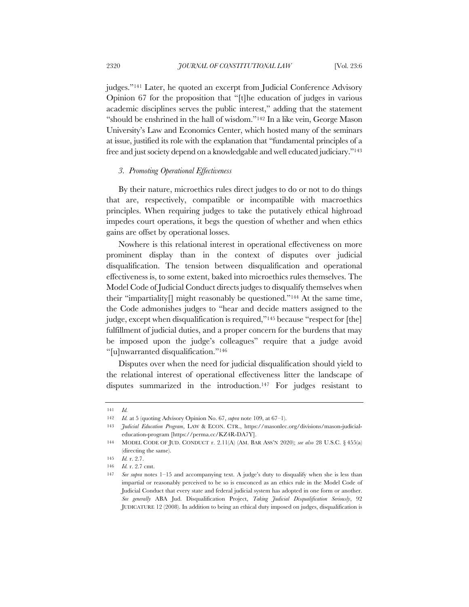judges."141 Later, he quoted an excerpt from Judicial Conference Advisory Opinion 67 for the proposition that "[t]he education of judges in various academic disciplines serves the public interest," adding that the statement "should be enshrined in the hall of wisdom."142 In a like vein, George Mason University's Law and Economics Center, which hosted many of the seminars at issue, justified its role with the explanation that "fundamental principles of a free and just society depend on a knowledgable and well educated judiciary."143

### *3. Promoting Operational Effectiveness*

By their nature, microethics rules direct judges to do or not to do things that are, respectively, compatible or incompatible with macroethics principles. When requiring judges to take the putatively ethical highroad impedes court operations, it begs the question of whether and when ethics gains are offset by operational losses.

Nowhere is this relational interest in operational effectiveness on more prominent display than in the context of disputes over judicial disqualification. The tension between disqualification and operational effectiveness is, to some extent, baked into microethics rules themselves. The Model Code of Judicial Conduct directs judges to disqualify themselves when their "impartiality[] might reasonably be questioned."144 At the same time, the Code admonishes judges to "hear and decide matters assigned to the judge, except when disqualification is required,"145 because "respect for [the] fulfillment of judicial duties, and a proper concern for the burdens that may be imposed upon the judge's colleagues" require that a judge avoid "[u]nwarranted disqualification."146

Disputes over when the need for judicial disqualification should yield to the relational interest of operational effectiveness litter the landscape of disputes summarized in the introduction.147 For judges resistant to

<sup>141</sup> *Id.*

<sup>142</sup> *Id.* at 5 (quoting Advisory Opinion No. 67, *supra* note 109, at 67–1).

<sup>143</sup> *Judicial Education Program*, LAW & ECON. CTR., https://masonlec.org/divisions/mason-judicialeducation-program [https://perma.cc/KZ4R-DA7Y].

<sup>144</sup> MODEL CODE OF JUD. CONDUCT r. 2.11(A) (AM. BAR ASS'N 2020); *see also* 28 U.S.C. § 455(a) (directing the same).

<sup>145</sup> *Id.* r. 2.7.

<sup>146</sup> *Id.* r. 2.7 cmt.

<sup>147</sup> *See supra* notes 1–15 and accompanying text. A judge's duty to disqualify when she is less than impartial or reasonably perceived to be so is ensconced as an ethics rule in the Model Code of Judicial Conduct that every state and federal judicial system has adopted in one form or another. *See generally* ABA Jud. Disqualification Project, *Taking Judicial Disqualification Seriously*, 92 JUDICATURE 12 (2008). In addition to being an ethical duty imposed on judges, disqualification is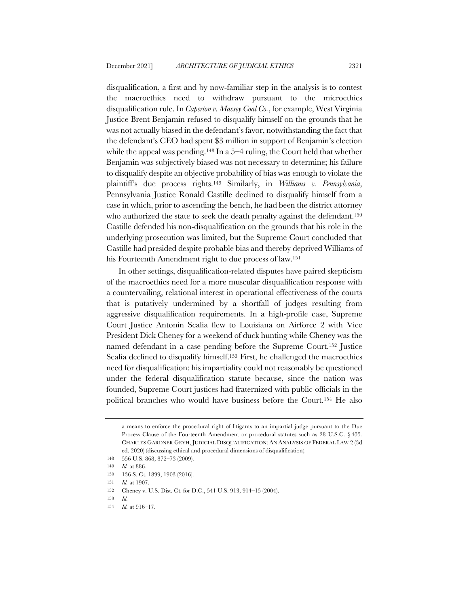disqualification, a first and by now-familiar step in the analysis is to contest the macroethics need to withdraw pursuant to the microethics disqualification rule. In *Caperton v. Massey Coal Co.*, for example, West Virginia Justice Brent Benjamin refused to disqualify himself on the grounds that he was not actually biased in the defendant's favor, notwithstanding the fact that the defendant's CEO had spent \$3 million in support of Benjamin's election while the appeal was pending.<sup>148</sup> In a  $5-4$  ruling, the Court held that whether Benjamin was subjectively biased was not necessary to determine; his failure to disqualify despite an objective probability of bias was enough to violate the plaintiff's due process rights.149 Similarly, in *Williams v. Pennsylvania*, Pennsylvania Justice Ronald Castille declined to disqualify himself from a case in which, prior to ascending the bench, he had been the district attorney who authorized the state to seek the death penalty against the defendant.<sup>150</sup> Castille defended his non-disqualification on the grounds that his role in the underlying prosecution was limited, but the Supreme Court concluded that Castille had presided despite probable bias and thereby deprived Williams of his Fourteenth Amendment right to due process of law.151

In other settings, disqualification-related disputes have paired skepticism of the macroethics need for a more muscular disqualification response with a countervailing, relational interest in operational effectiveness of the courts that is putatively undermined by a shortfall of judges resulting from aggressive disqualification requirements. In a high-profile case, Supreme Court Justice Antonin Scalia flew to Louisiana on Airforce 2 with Vice President Dick Cheney for a weekend of duck hunting while Cheney was the named defendant in a case pending before the Supreme Court.152 Justice Scalia declined to disqualify himself.153 First, he challenged the macroethics need for disqualification: his impartiality could not reasonably be questioned under the federal disqualification statute because, since the nation was founded, Supreme Court justices had fraternized with public officials in the political branches who would have business before the Court.154 He also

a means to enforce the procedural right of litigants to an impartial judge pursuant to the Due Process Clause of the Fourteenth Amendment or procedural statutes such as 28 U.S.C. § 455. CHARLES GARDNER GEYH, JUDICIAL DISQUALIFICATION: AN ANALYSIS OF FEDERAL LAW 2 (3d ed. 2020) (discussing ethical and procedural dimensions of disqualification).

<sup>148</sup> 556 U.S. 868, 872–73 (2009).

<sup>149</sup> *Id.* at 886.

<sup>150</sup> 136 S. Ct. 1899, 1903 (2016).

<sup>151</sup> *Id.* at 1907.

<sup>152</sup> Cheney v. U.S. Dist. Ct. for D.C., 541 U.S. 913, 914–15 (2004).

<sup>153</sup> *Id.*

<sup>154</sup> *Id.* at 916–17.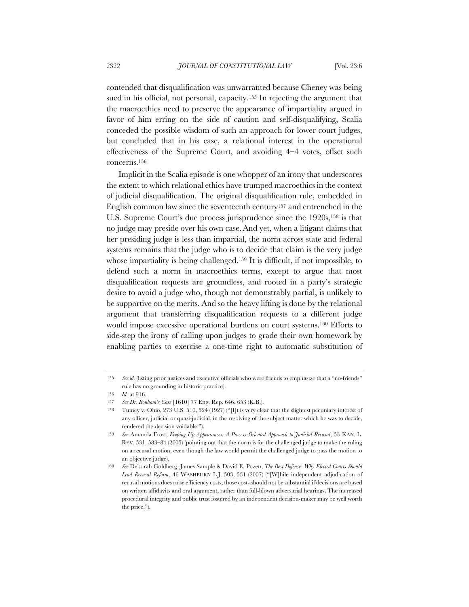contended that disqualification was unwarranted because Cheney was being sued in his official, not personal, capacity.155 In rejecting the argument that the macroethics need to preserve the appearance of impartiality argued in favor of him erring on the side of caution and self-disqualifying, Scalia conceded the possible wisdom of such an approach for lower court judges, but concluded that in his case, a relational interest in the operational effectiveness of the Supreme Court, and avoiding 4–4 votes, offset such concerns.156

Implicit in the Scalia episode is one whopper of an irony that underscores the extent to which relational ethics have trumped macroethics in the context of judicial disqualification. The original disqualification rule, embedded in English common law since the seventeenth century157 and entrenched in the U.S. Supreme Court's due process jurisprudence since the 1920s,<sup>158</sup> is that no judge may preside over his own case.And yet, when a litigant claims that her presiding judge is less than impartial, the norm across state and federal systems remains that the judge who is to decide that claim is the very judge whose impartiality is being challenged.<sup>159</sup> It is difficult, if not impossible, to defend such a norm in macroethics terms, except to argue that most disqualification requests are groundless, and rooted in a party's strategic desire to avoid a judge who, though not demonstrably partial, is unlikely to be supportive on the merits. And so the heavy lifting is done by the relational argument that transferring disqualification requests to a different judge would impose excessive operational burdens on court systems.160 Efforts to side-step the irony of calling upon judges to grade their own homework by enabling parties to exercise a one-time right to automatic substitution of

<sup>155</sup> *See id.* (listing prior justices and executive officials who were friends to emphasize that a "no-friends" rule has no grounding in historic practice).

<sup>156</sup> *Id.* at 916.

<sup>157</sup> *See Dr. Bonham's Case* [1610] 77 Eng. Rep. 646, 653 (K.B.).

<sup>158</sup> Tumey v. Ohio, 273 U.S. 510, 524 (1927) ("[I]t is very clear that the slightest pecuniary interest of any officer, judicial or quasi-judicial, in the resolving of the subject matter which he was to decide, rendered the decision voidable.").

<sup>159</sup> *See* Amanda Frost, *Keeping Up Appearances: A Process-Oriented Approach to Judicial Recusal*, 53 KAN. L. REV. 531, 583–84 (2005) (pointing out that the norm is for the challenged judge to make the ruling on a recusal motion, even though the law would permit the challenged judge to pass the motion to an objective judge).

<sup>160</sup> *See* Deborah Goldberg, James Sample & David E. Pozen, *The Best Defense: Why Elected Courts Should Lead Recusal Reform*, 46 WASHBURN L.J. 503, 531 (2007) ("[W]hile independent adjudication of recusal motions does raise efficiency costs, those costs should not be substantial if decisions are based on written affidavits and oral argument, rather than full-blown adversarial hearings. The increased procedural integrity and public trust fostered by an independent decision-maker may be well worth the price.").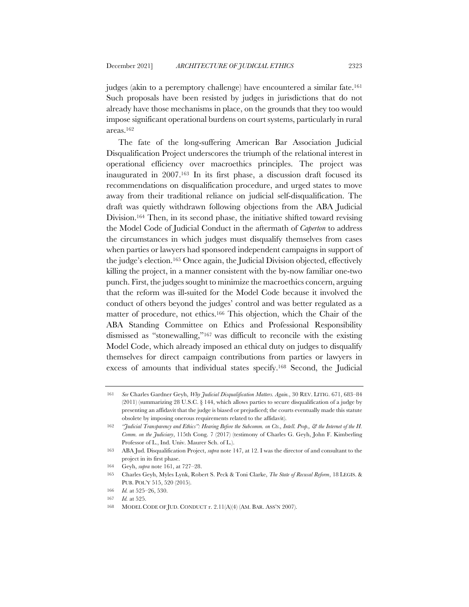judges (akin to a peremptory challenge) have encountered a similar fate.161 Such proposals have been resisted by judges in jurisdictions that do not already have those mechanisms in place, on the grounds that they too would impose significant operational burdens on court systems, particularly in rural areas.162

The fate of the long-suffering American Bar Association Judicial Disqualification Project underscores the triumph of the relational interest in operational efficiency over macroethics principles. The project was inaugurated in 2007.163 In its first phase, a discussion draft focused its recommendations on disqualification procedure, and urged states to move away from their traditional reliance on judicial self-disqualification. The draft was quietly withdrawn following objections from the ABA Judicial Division.164 Then, in its second phase, the initiative shifted toward revising the Model Code of Judicial Conduct in the aftermath of *Caperton* to address the circumstances in which judges must disqualify themselves from cases when parties or lawyers had sponsored independent campaigns in support of the judge's election.165 Once again, the Judicial Division objected, effectively killing the project, in a manner consistent with the by-now familiar one-two punch. First, the judges sought to minimize the macroethics concern, arguing that the reform was ill-suited for the Model Code because it involved the conduct of others beyond the judges' control and was better regulated as a matter of procedure, not ethics.166 This objection, which the Chair of the ABA Standing Committee on Ethics and Professional Responsibility dismissed as "stonewalling,"167 was difficult to reconcile with the existing Model Code, which already imposed an ethical duty on judges to disqualify themselves for direct campaign contributions from parties or lawyers in excess of amounts that individual states specify.168 Second, the Judicial

<sup>161</sup> *See* Charles Gardner Geyh, *Why Judicial Disqualification Matters. Again.*, 30 REV. LITIG. 671, 683–84 (2011) (summarizing 28 U.S.C. § 144, which allows parties to secure disqualification of a judge by presenting an affidavit that the judge is biased or prejudiced; the courts eventually made this statute obsolete by imposing onerous requirements related to the affidavit).

<sup>162</sup> *"Judicial Transparency and Ethics": Hearing Before the Subcomm. on Cts., Intell. Prop., & the Internet of the H. Comm. on the Judiciary*, 115th Cong. 7 (2017) (testimony of Charles G. Geyh, John F. Kimberling Professor of L., Ind. Univ. Maurer Sch. of L.).

<sup>163</sup> ABA Jud. Disqualification Project, *supra* note 147, at 12. I was the director of and consultant to the project in its first phase.

<sup>164</sup> Geyh, *supra* note 161, at 727–28.

<sup>165</sup> Charles Geyh, Myles Lynk, Robert S. Peck & Toni Clarke, *The State of Recusal Reform*, 18 LEGIS. & PUB. POL'Y 515, 520 (2015).

<sup>166</sup> *Id.* at 525–26, 530.

<sup>167</sup> *Id.* at 525.

<sup>168</sup> MODEL CODE OF JUD. CONDUCT r. 2.11(A)(4) (AM. BAR. ASS'N 2007).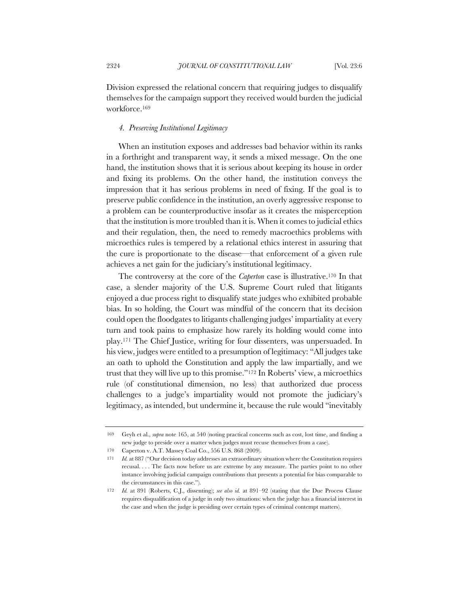Division expressed the relational concern that requiring judges to disqualify themselves for the campaign support they received would burden the judicial workforce.169

## *4. Preserving Institutional Legitimacy*

When an institution exposes and addresses bad behavior within its ranks in a forthright and transparent way, it sends a mixed message. On the one hand, the institution shows that it is serious about keeping its house in order and fixing its problems. On the other hand, the institution conveys the impression that it has serious problems in need of fixing. If the goal is to preserve public confidence in the institution, an overly aggressive response to a problem can be counterproductive insofar as it creates the misperception that the institution is more troubled than it is. When it comes to judicial ethics and their regulation, then, the need to remedy macroethics problems with microethics rules is tempered by a relational ethics interest in assuring that the cure is proportionate to the disease—that enforcement of a given rule achieves a net gain for the judiciary's institutional legitimacy.

The controversy at the core of the *Caperton* case is illustrative.170 In that case, a slender majority of the U.S. Supreme Court ruled that litigants enjoyed a due process right to disqualify state judges who exhibited probable bias. In so holding, the Court was mindful of the concern that its decision could open the floodgates to litigants challenging judges' impartiality at every turn and took pains to emphasize how rarely its holding would come into play.171 The Chief Justice, writing for four dissenters, was unpersuaded. In his view, judges were entitled to a presumption of legitimacy: "All judges take an oath to uphold the Constitution and apply the law impartially, and we trust that they will live up to this promise."172 In Roberts' view, a microethics rule (of constitutional dimension, no less) that authorized due process challenges to a judge's impartiality would not promote the judiciary's legitimacy, as intended, but undermine it, because the rule would "inevitably

<sup>169</sup> Geyh et al., *supra* note 165, at 540 (noting practical concerns such as cost, lost time, and finding a new judge to preside over a matter when judges must recuse themselves from a case).

<sup>170</sup> Caperton v. A.T. Massey Coal Co., 556 U.S. 868 (2009).

<sup>171</sup> *Id.* at 887 ("Our decision today addresses an extraordinary situation where the Constitution requires recusal. . . . The facts now before us are extreme by any measure. The parties point to no other instance involving judicial campaign contributions that presents a potential for bias comparable to the circumstances in this case.").

<sup>172</sup> *Id.* at 891 (Roberts, C.J., dissenting); *see also id.* at 891–92 (stating that the Due Process Clause requires disqualification of a judge in only two situations: when the judge has a financial interest in the case and when the judge is presiding over certain types of criminal contempt matters).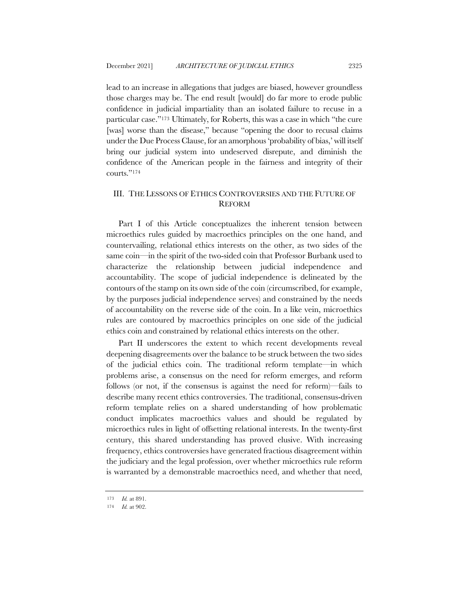lead to an increase in allegations that judges are biased, however groundless those charges may be. The end result [would] do far more to erode public confidence in judicial impartiality than an isolated failure to recuse in a particular case."173 Ultimately, for Roberts, this was a case in which "the cure [was] worse than the disease," because "opening the door to recusal claims under the Due Process Clause, for an amorphous 'probability of bias,' will itself bring our judicial system into undeserved disrepute, and diminish the confidence of the American people in the fairness and integrity of their courts."174

# III. THE LESSONS OF ETHICS CONTROVERSIES AND THE FUTURE OF REFORM

Part I of this Article conceptualizes the inherent tension between microethics rules guided by macroethics principles on the one hand, and countervailing, relational ethics interests on the other, as two sides of the same coin—in the spirit of the two-sided coin that Professor Burbank used to characterize the relationship between judicial independence and accountability. The scope of judicial independence is delineated by the contours of the stamp on its own side of the coin (circumscribed, for example, by the purposes judicial independence serves) and constrained by the needs of accountability on the reverse side of the coin. In a like vein, microethics rules are contoured by macroethics principles on one side of the judicial ethics coin and constrained by relational ethics interests on the other.

Part II underscores the extent to which recent developments reveal deepening disagreements over the balance to be struck between the two sides of the judicial ethics coin. The traditional reform template—in which problems arise, a consensus on the need for reform emerges, and reform follows (or not, if the consensus is against the need for reform)—fails to describe many recent ethics controversies. The traditional, consensus-driven reform template relies on a shared understanding of how problematic conduct implicates macroethics values and should be regulated by microethics rules in light of offsetting relational interests. In the twenty-first century, this shared understanding has proved elusive. With increasing frequency, ethics controversies have generated fractious disagreement within the judiciary and the legal profession, over whether microethics rule reform is warranted by a demonstrable macroethics need, and whether that need,

<sup>173</sup> *Id.* at 891.

<sup>174</sup> *Id.* at 902.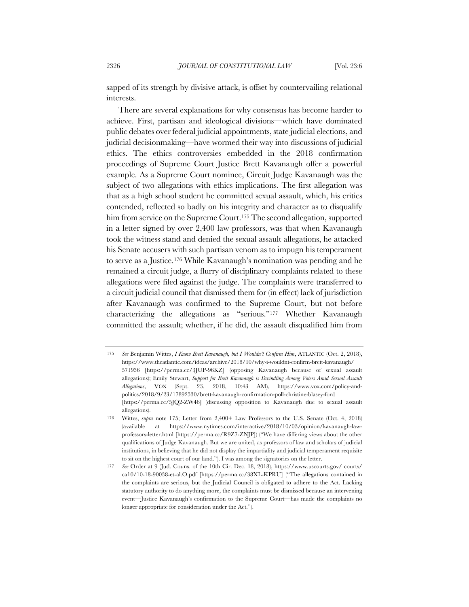sapped of its strength by divisive attack, is offset by countervailing relational interests.

There are several explanations for why consensus has become harder to achieve. First, partisan and ideological divisions—which have dominated public debates over federal judicial appointments, state judicial elections, and judicial decisionmaking—have wormed their way into discussions of judicial ethics. The ethics controversies embedded in the 2018 confirmation proceedings of Supreme Court Justice Brett Kavanaugh offer a powerful example. As a Supreme Court nominee, Circuit Judge Kavanaugh was the subject of two allegations with ethics implications. The first allegation was that as a high school student he committed sexual assault, which, his critics contended, reflected so badly on his integrity and character as to disqualify him from service on the Supreme Court.<sup>175</sup> The second allegation, supported in a letter signed by over 2,400 law professors, was that when Kavanaugh took the witness stand and denied the sexual assault allegations, he attacked his Senate accusers with such partisan venom as to impugn his temperament to serve as a Justice.176 While Kavanaugh's nomination was pending and he remained a circuit judge, a flurry of disciplinary complaints related to these allegations were filed against the judge. The complaints were transferred to a circuit judicial council that dismissed them for (in effect) lack of jurisdiction after Kavanaugh was confirmed to the Supreme Court, but not before characterizing the allegations as "serious."177 Whether Kavanaugh committed the assault; whether, if he did, the assault disqualified him from

<sup>175</sup> *See* Benjamin Wittes, *I Know Brett Kavanaugh, but I Wouldn't Confirm Him*, ATLANTIC (Oct. 2, 2018), https://www.theatlantic.com/ideas/archive/2018/10/why-i-wouldnt-confirm-brett-kavanaugh/ 571936 [https://perma.cc/3JUP-96KZ] (opposing Kavanaugh because of sexual assault allegations); Emily Stewart, *Support for Brett Kavanaugh is Dwindling Among Voters Amid Sexual Assault Allegations*, VOX (Sept. 23, 2018, 10:43 AM), https://www.vox.com/policy-andpolitics/2018/9/23/17892530/brett-kavanaugh-confirmation-poll-christine-blasey-ford [https://perma.cc/5JQ2-ZW46] (discussing opposition to Kavanaugh due to sexual assault allegations).

<sup>176</sup> Wittes, *supra* note 175; Letter from 2,400+ Law Professors to the U.S. Senate (Oct. 4, 2018) (available at https://www.nytimes.com/interactive/2018/10/03/opinion/kavanaugh-lawprofessors-letter.html [https://perma.cc/R9Z7-ZNJP]) ("We have differing views about the other qualifications of Judge Kavanaugh. But we are united, as professors of law and scholars of judicial institutions, in believing that he did not display the impartiality and judicial temperament requisite to sit on the highest court of our land."). I was among the signatories on the letter.

<sup>177</sup> *See* Order at 9 (Jud. Couns. of the 10th Cir. Dec. 18, 2018), https://www.uscourts.gov/ courts/ ca10/10-18-90038-et-al.O.pdf [https://perma.cc/38XL-KPRU] ("The allegations contained in the complaints are serious, but the Judicial Council is obligated to adhere to the Act. Lacking statutory authority to do anything more, the complaints must be dismissed because an intervening event—Justice Kavanaugh's confirmation to the Supreme Court—has made the complaints no longer appropriate for consideration under the Act.").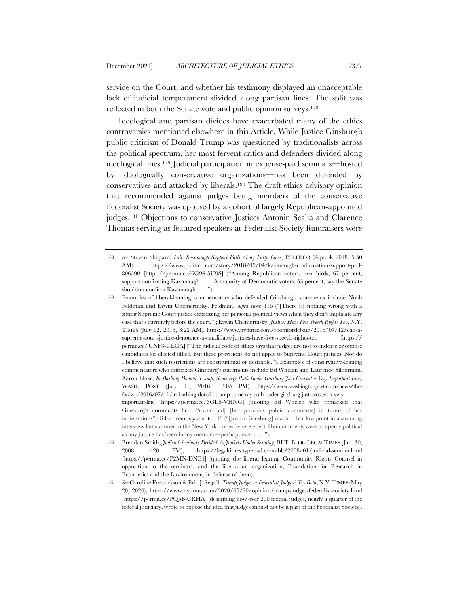service on the Court; and whether his testimony displayed an unacceptable lack of judicial temperament divided along partisan lines. The split was reflected in both the Senate vote and public opinion surveys.178

Ideological and partisan divides have exacerbated many of the ethics controversies mentioned elsewhere in this Article. While Justice Ginsburg's public criticism of Donald Trump was questioned by traditionalists across the political spectrum, her most fervent critics and defenders divided along ideological lines.179 Judicial participation in expense-paid seminars—hosted by ideologically conservative organizations—has been defended by conservatives and attacked by liberals.180 The draft ethics advisory opinion that recommended against judges being members of the conservative Federalist Society was opposed by a cohort of largely Republican-appointed judges.181 Objections to conservative Justices Antonin Scalia and Clarence Thomas serving as featured speakers at Federalist Society fundraisers were

<sup>178</sup> *See* Steven Shepard, *Poll: Kavanaugh Support Falls Along Party Lines*, POLITICO (Sept. 4, 2018, 5:50 AM), https://www.politico.com/story/2018/09/04/kavanaugh-confirmation-support-poll-806300 [https://perma.cc/6G9S-5U9S] ("Among Republican voters, two-thirds, 67 percent, support confirming Kavanaugh . . . . A majority of Democratic voters, 53 percent, say the Senate shouldn't confirm Kavanaugh . . . .").

Examples of liberal-leaning commentators who defended Ginsburg's statements include Noah Feldman and Erwin Chemerinsky. Feldman, *supra* note 115 ("[There is] nothing wrong with a sitting Supreme Court justice expressing her personal political views when they don't implicate any case that's currently before the court."); Erwin Chemerinsky, *Justices Have Free Speech Rights Too*, N.Y. TIMES (July 12, 2016, 3:22 AM), https://www.nytimes.com/roomfordebate/2016/07/12/can-asupreme-court-justice-denounce-a-candidate/justices-have-free-speech-rights-too [https:// perma.cc/UNF3-UEGA] ("The judicial code of ethics says that judges are not to endorse or oppose candidates for elected office. But these provisions do not apply to Supreme Court justices. Nor do I believe that such restrictions are constitutional or desirable."). Examples of conservative-leaning commentators who criticized Ginsburg's statements include Ed Whelan and Laurence Silberman. Aaron Blake, *In Bashing Donald Trump, Some Say Ruth Bader Ginsburg Just Crossed a Very Important Line*, WASH. POST (July 11, 2016, 12:05 PM), https://www.washingtonpost.com/news/thefix/wp/2016/07/11/in-bashing-donald-trump-some-say-ruth-bader-ginsburg-just-crossed-a-veryimportant-line [https://perma.cc/3GLS-VHNG] (quoting Ed Whelen who remarked that Ginsburg's comments here "exceed[ed] [her previous public comments] in terms of her indiscretions"); Silberman, *supra* note 113 ("[Justice Ginsburg] reached her low point in a stunning interview last summer in the New York Times (where else?). Her comments were as openly political as any justice has been in my memory—perhaps ever . . . .").

<sup>180</sup> Brendan Smith, *Judicial Seminars Derided As Junkets Under Scrutiny*, BLT: BLOG LEGALTIMES (Jan. 30, 2008, 4:20 PM), https://legaltimes.typepad.com/blt/2008/01/judicial-semina.html [https://perma.cc/P2MN-DNE4] (quoting the liberal leaning Community Rights Counsel in opposition to the seminars, and the libertarian organization, Foundation for Research in Economics and the Environment, in defense of them).

<sup>181</sup> *See* Caroline Fredrickson & Eric J. Segall, *Trump Judges or Federalist Judges? Try Both*, N.Y.TIMES (May 20, 2020), https://www.nytimes.com/2020/05/20/opinion/trump-judges-federalist-society.html [https://perma.cc/PQ5B-CRHA] (describing how over 200 federal judges, nearly a quarter of the federal judiciary, wrote to oppose the idea that judges should not be a part of the Federalist Society).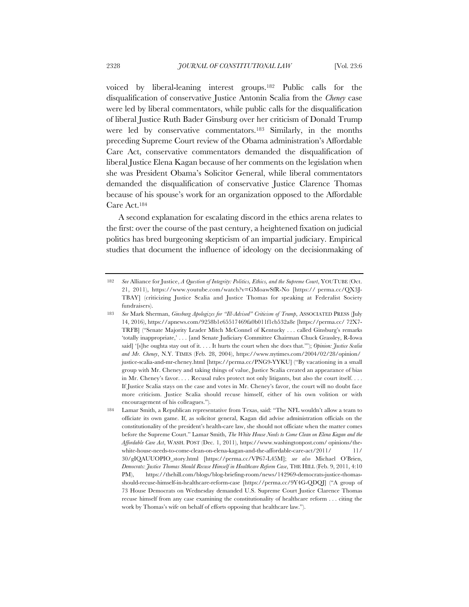voiced by liberal-leaning interest groups.182 Public calls for the disqualification of conservative Justice Antonin Scalia from the *Cheney* case were led by liberal commentators, while public calls for the disqualification of liberal Justice Ruth Bader Ginsburg over her criticism of Donald Trump were led by conservative commentators.183 Similarly, in the months preceding Supreme Court review of the Obama administration's Affordable Care Act, conservative commentators demanded the disqualification of liberal Justice Elena Kagan because of her comments on the legislation when she was President Obama's Solicitor General, while liberal commentators demanded the disqualification of conservative Justice Clarence Thomas because of his spouse's work for an organization opposed to the Affordable Care Act.184

A second explanation for escalating discord in the ethics arena relates to the first: over the course of the past century, a heightened fixation on judicial politics has bred burgeoning skepticism of an impartial judiciary. Empirical studies that document the influence of ideology on the decisionmaking of

<sup>182</sup> *See* Alliance for Justice, *A Question of Integrity: Politics, Ethics, and the Supreme Court*, YOUTUBE (Oct. 21, 2011), https://www.youtube.com/watch?v=GMoawSfR-No [https:// perma.cc/QX3J-TBAY] (criticizing Justice Scalia and Justice Thomas for speaking at Federalist Society fundraisers).

<sup>183</sup> *See* Mark Sherman, *Ginsburg Apologizes for "Ill-Advised" Criticism of Trump*, ASSOCIATED PRESS (July 14, 2016), https://apnews.com/9258b1e65517469fa0b011f1cb532a8e [https://perma.cc/ 72X7- TRFB] ("Senate Majority Leader Mitch McConnel of Kentucky . . . called Ginsburg's remarks 'totally inappropriate,' . . . [and Senate Judiciary Committee Chairman Chuck Grassley, R-Iowa said] '[s]he oughta stay out of it. . . . It hurts the court when she does that.'"); *Opinion: Justice Scalia and Mr. Cheney*, N.Y. TIMES (Feb. 28, 2004), https://www.nytimes.com/2004/02/28/opinion/ justice-scalia-and-mr-cheney.html [https://perma.cc/PNG9-YYKU] ("By vacationing in a small group with Mr. Cheney and taking things of value, Justice Scalia created an appearance of bias in Mr. Cheney's favor. . . . Recusal rules protect not only litigants, but also the court itself. . . . If Justice Scalia stays on the case and votes in Mr. Cheney's favor, the court will no doubt face more criticism. Justice Scalia should recuse himself, either of his own volition or with encouragement of his colleagues.").

<sup>184</sup> Lamar Smith, a Republican representative from Texas, said: "The NFL wouldn't allow a team to officiate its own game. If, as solicitor general, Kagan did advise administration officials on the constitutionality of the president's health-care law, she should not officiate when the matter comes before the Supreme Court." Lamar Smith, *The White House Needs to Come Clean on Elena Kagan and the Affordable Care Act*, WASH. POST (Dec. 1, 2011), https://www.washingtonpost.com/ opinions/thewhite-house-needs-to-come-clean-on-elena-kagan-and-the-affordable-care-act/2011/ 11/ 30/gIQAUUOPIO\_story.html [https://perma.cc/VP67-L45M]; *see also* Michael O'Brien, *Democrats: Justice Thomas Should Recuse Himself in Healthcare Reform Case*, THE HILL (Feb. 9, 2011, 4:10 PM), https://thehill.com/blogs/blog-briefing-room/news/142969-democrats-justice-thomasshould-recuse-himself-in-healthcare-reform-case [https://perma.cc/9Y4G-QDQJ] ("A group of 73 House Democrats on Wednesday demanded U.S. Supreme Court Justice Clarence Thomas recuse himself from any case examining the constitutionality of healthcare reform . . . citing the work by Thomas's wife on behalf of efforts opposing that healthcare law.").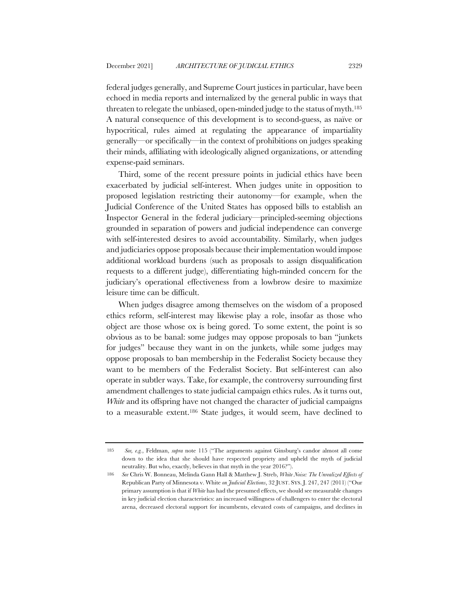federal judges generally, and Supreme Court justices in particular, have been echoed in media reports and internalized by the general public in ways that threaten to relegate the unbiased, open-minded judge to the status of myth.185 A natural consequence of this development is to second-guess, as naïve or hypocritical, rules aimed at regulating the appearance of impartiality generally—or specifically—in the context of prohibitions on judges speaking their minds, affiliating with ideologically aligned organizations, or attending expense-paid seminars.

Third, some of the recent pressure points in judicial ethics have been exacerbated by judicial self-interest. When judges unite in opposition to proposed legislation restricting their autonomy—for example, when the Judicial Conference of the United States has opposed bills to establish an Inspector General in the federal judiciary—principled-seeming objections grounded in separation of powers and judicial independence can converge with self-interested desires to avoid accountability. Similarly, when judges and judiciaries oppose proposals because their implementation would impose additional workload burdens (such as proposals to assign disqualification requests to a different judge), differentiating high-minded concern for the judiciary's operational effectiveness from a lowbrow desire to maximize leisure time can be difficult.

When judges disagree among themselves on the wisdom of a proposed ethics reform, self-interest may likewise play a role, insofar as those who object are those whose ox is being gored. To some extent, the point is so obvious as to be banal: some judges may oppose proposals to ban "junkets for judges" because they want in on the junkets, while some judges may oppose proposals to ban membership in the Federalist Society because they want to be members of the Federalist Society. But self-interest can also operate in subtler ways. Take, for example, the controversy surrounding first amendment challenges to state judicial campaign ethics rules. As it turns out, *White* and its offspring have not changed the character of judicial campaigns to a measurable extent.186 State judges, it would seem, have declined to

<sup>185</sup> *See, e.g.*, Feldman, *supra* note 115 ("The arguments against Ginsburg's candor almost all come down to the idea that she should have respected propriety and upheld the myth of judicial neutrality. But who, exactly, believes in that myth in the year 2016?").

<sup>186</sup> *See* Chris W. Bonneau, Melinda Gann Hall & Matthew J. Streb, *White Noise: The Unrealized Effects of*  Republican Party of Minnesota v. White *on Judicial Elections*, 32 JUST. SYS. J. 247, 247 (2011) ("Our primary assumption is that if *White* has had the presumed effects, we should see measurable changes in key judicial election characteristics: an increased willingness of challengers to enter the electoral arena, decreased electoral support for incumbents, elevated costs of campaigns, and declines in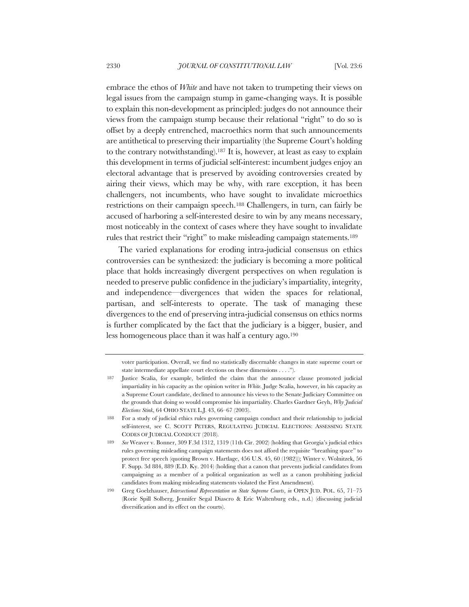embrace the ethos of *White* and have not taken to trumpeting their views on legal issues from the campaign stump in game-changing ways. It is possible to explain this non-development as principled: judges do not announce their views from the campaign stump because their relational "right" to do so is offset by a deeply entrenched, macroethics norm that such announcements are antithetical to preserving their impartiality (the Supreme Court's holding to the contrary notwithstanding).187 It is, however, at least as easy to explain this development in terms of judicial self-interest: incumbent judges enjoy an electoral advantage that is preserved by avoiding controversies created by airing their views, which may be why, with rare exception, it has been challengers, not incumbents, who have sought to invalidate microethics restrictions on their campaign speech.188 Challengers, in turn, can fairly be accused of harboring a self-interested desire to win by any means necessary, most noticeably in the context of cases where they have sought to invalidate rules that restrict their "right" to make misleading campaign statements.189

The varied explanations for eroding intra-judicial consensus on ethics controversies can be synthesized: the judiciary is becoming a more political place that holds increasingly divergent perspectives on when regulation is needed to preserve public confidence in the judiciary's impartiality, integrity, and independence—divergences that widen the spaces for relational, partisan, and self-interests to operate. The task of managing these divergences to the end of preserving intra-judicial consensus on ethics norms is further complicated by the fact that the judiciary is a bigger, busier, and less homogeneous place than it was half a century ago.190

voter participation. Overall, we find no statistically discernable changes in state supreme court or state intermediate appellate court elections on these dimensions . . . .").

<sup>187</sup> Justice Scalia, for example, belittled the claim that the announce clause promoted judicial impartiality in his capacity as the opinion writer in *White*. Judge Scalia, however, in his capacity as a Supreme Court candidate, declined to announce his views to the Senate Judiciary Committee on the grounds that doing so would compromise his impartiality. Charles Gardner Geyh, *Why Judicial Elections Stink*, 64 OHIO STATE L.J. 43, 66–67 (2003).

<sup>188</sup> For a study of judicial ethics rules governing campaign conduct and their relationship to judicial self-interest, see C. SCOTT PETERS, REGULATING JUDICIAL ELECTIONS: ASSESSING STATE CODES OF JUDICIAL CONDUCT (2018).

<sup>189</sup> *See* Weaver v. Bonner, 309 F.3d 1312, 1319 (11th Cir. 2002) (holding that Georgia's judicial ethics rules governing misleading campaign statements does not afford the requisite "breathing space" to protect free speech (quoting Brown v. Hartlage, 456 U.S. 45, 60 (1982))); Winter v. Wolnitzek, 56 F. Supp. 3d 884, 889 (E.D. Ky. 2014) (holding that a canon that prevents judicial candidates from campaigning as a member of a political organization as well as a canon prohibiting judicial candidates from making misleading statements violated the First Amendment).

<sup>190</sup> Greg Goelzhauser, *Intersectional Representation on State Supreme Courts*, *in* OPEN JUD. POL. 65, 71–75 (Rorie Spill Solberg, Jennifer Segal Diascro & Eric Waltenburg eds., n.d.) (discussing judicial diversification and its effect on the courts).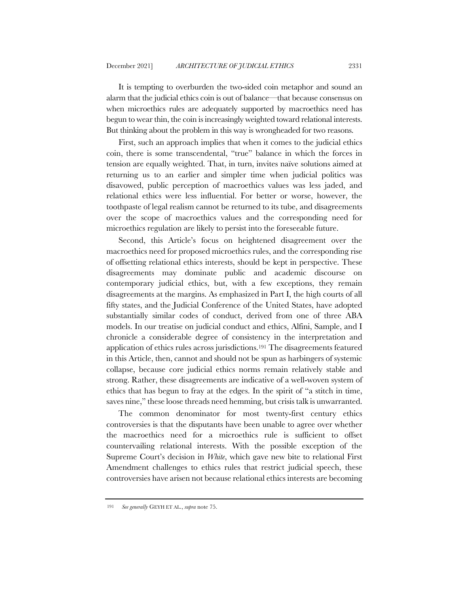It is tempting to overburden the two-sided coin metaphor and sound an alarm that the judicial ethics coin is out of balance—that because consensus on when microethics rules are adequately supported by macroethics need has begun to wear thin, the coin is increasingly weighted toward relational interests. But thinking about the problem in this way is wrongheaded for two reasons.

First, such an approach implies that when it comes to the judicial ethics coin, there is some transcendental, "true" balance in which the forces in tension are equally weighted. That, in turn, invites naïve solutions aimed at returning us to an earlier and simpler time when judicial politics was disavowed, public perception of macroethics values was less jaded, and relational ethics were less influential. For better or worse, however, the toothpaste of legal realism cannot be returned to its tube, and disagreements over the scope of macroethics values and the corresponding need for microethics regulation are likely to persist into the foreseeable future.

Second, this Article's focus on heightened disagreement over the macroethics need for proposed microethics rules, and the corresponding rise of offsetting relational ethics interests, should be kept in perspective. These disagreements may dominate public and academic discourse on contemporary judicial ethics, but, with a few exceptions, they remain disagreements at the margins. As emphasized in Part I, the high courts of all fifty states, and the Judicial Conference of the United States, have adopted substantially similar codes of conduct, derived from one of three ABA models. In our treatise on judicial conduct and ethics, Alfini, Sample, and I chronicle a considerable degree of consistency in the interpretation and application of ethics rules across jurisdictions.191 The disagreements featured in this Article, then, cannot and should not be spun as harbingers of systemic collapse, because core judicial ethics norms remain relatively stable and strong. Rather, these disagreements are indicative of a well-woven system of ethics that has begun to fray at the edges. In the spirit of "a stitch in time, saves nine," these loose threads need hemming, but crisis talk is unwarranted.

The common denominator for most twenty-first century ethics controversies is that the disputants have been unable to agree over whether the macroethics need for a microethics rule is sufficient to offset countervailing relational interests. With the possible exception of the Supreme Court's decision in *White*, which gave new bite to relational First Amendment challenges to ethics rules that restrict judicial speech, these controversies have arisen not because relational ethics interests are becoming

<sup>191</sup> *See generally* GEYH ET AL., *supra* note 75.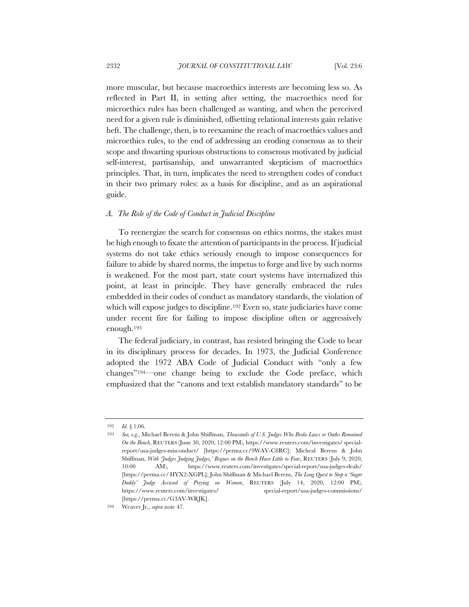more muscular, but because macroethics interests are becoming less so. As reflected in Part II, in setting after setting, the macroethics need for microethics rules has been challenged as wanting, and when the perceived need for a given rule is diminished, offsetting relational interests gain relative heft. The challenge, then, is to reexamine the reach of macroethics values and microethics rules, to the end of addressing an eroding consensus as to their scope and thwarting spurious obstructions to consensus motivated by judicial self-interest, partisanship, and unwarranted skepticism of macroethics principles. That, in turn, implicates the need to strengthen codes of conduct in their two primary roles: as a basis for discipline, and as an aspirational guide.

### *A. The Role of the Code of Conduct in Judicial Discipline*

To reenergize the search for consensus on ethics norms, the stakes must be high enough to fixate the attention of participants in the process. If judicial systems do not take ethics seriously enough to impose consequences for failure to abide by shared norms, the impetus to forge and live by such norms is weakened. For the most part, state court systems have internalized this point, at least in principle. They have generally embraced the rules embedded in their codes of conduct as mandatory standards, the violation of which will expose judges to discipline.<sup>192</sup> Even so, state judiciaries have come under recent fire for failing to impose discipline often or aggressively enough.193

The federal judiciary, in contrast, has resisted bringing the Code to bear in its disciplinary process for decades. In 1973, the Judicial Conference adopted the 1972 ABA Code of Judicial Conduct with "only a few changes"194—one change being to exclude the Code preface, which emphasized that the "canons and text establish mandatory standards" to be

<sup>192</sup> *Id.* § 1.06.

<sup>193</sup> *See, e.g.*, Michael Berens & John Shiffman, *Thousands of U.S. Judges Who Broke Laws or Oaths Remained On the Bench*, REUTERS (June 30, 2020, 12:00 PM), https://www.reuters.com/investigates/ specialreport/usa-judges-misconduct/ [https://perma.cc/9WAV-C8RC]; Micheal Berens & John Shiffman, *With 'Judges Judging Judges,' Rogues on the Bench Have Little to Fear*, REUTERS (July 9, 2020, 10:00 AM), https://www.reuters.com/investigates/special-report/usa-judges-deals/ [https://perma.cc/ HYX2-XGPL]; John Shiffman & Michael Berens, *The Long Quest to Stop a 'Sugar Daddy' Judge Accused of Preying on Women*, REUTERS (July 14, 2020, 12:00 PM), https://www.reuters.com/investigates/ special-report/usa-judges-commissions/ [https://perma.cc/G3AV-WRJK].

<sup>194</sup> Weaver Jr., *supra* note 47.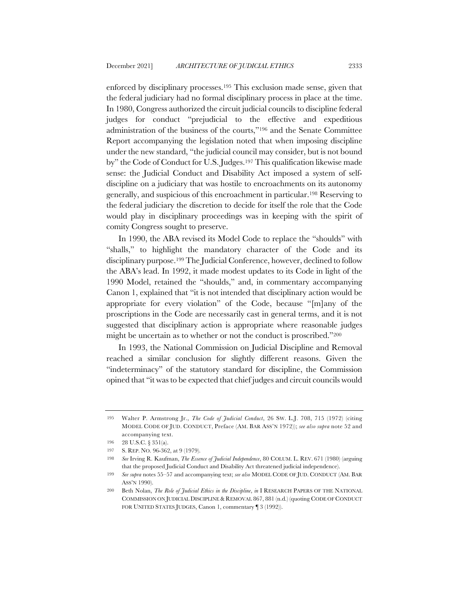enforced by disciplinary processes.195 This exclusion made sense, given that the federal judiciary had no formal disciplinary process in place at the time. In 1980, Congress authorized the circuit judicial councils to discipline federal judges for conduct "prejudicial to the effective and expeditious administration of the business of the courts,"196 and the Senate Committee Report accompanying the legislation noted that when imposing discipline under the new standard, "the judicial council may consider, but is not bound by" the Code of Conduct for U.S. Judges.197 This qualification likewise made sense: the Judicial Conduct and Disability Act imposed a system of selfdiscipline on a judiciary that was hostile to encroachments on its autonomy generally, and suspicious of this encroachment in particular.198 Reserving to the federal judiciary the discretion to decide for itself the role that the Code would play in disciplinary proceedings was in keeping with the spirit of comity Congress sought to preserve.

In 1990, the ABA revised its Model Code to replace the "shoulds" with "shalls," to highlight the mandatory character of the Code and its disciplinary purpose.199 The Judicial Conference, however, declined to follow the ABA's lead. In 1992, it made modest updates to its Code in light of the 1990 Model, retained the "shoulds," and, in commentary accompanying Canon 1, explained that "it is not intended that disciplinary action would be appropriate for every violation" of the Code, because "[m]any of the proscriptions in the Code are necessarily cast in general terms, and it is not suggested that disciplinary action is appropriate where reasonable judges might be uncertain as to whether or not the conduct is proscribed."200

In 1993, the National Commission on Judicial Discipline and Removal reached a similar conclusion for slightly different reasons. Given the "indeterminacy" of the statutory standard for discipline, the Commission opined that "it was to be expected that chief judges and circuit councils would

<sup>195</sup> Walter P. Armstrong Jr., *The Code of Judicial Conduct*, 26 SW. L.J. 708, 715 (1972) (citing MODEL CODE OF JUD. CONDUCT, Preface (AM. BAR ASS'N 1972)); *see also supra* note 52 and accompanying text.

<sup>196</sup> 28 U.S.C. § 351(a).

<sup>197</sup> S. REP. NO. 96-362, at 9 (1979).

<sup>198</sup> *See* Irving R. Kaufman, *The Essence of Judicial Independence*, 80 COLUM. L. REV. 671 (1980) (arguing that the proposed Judicial Conduct and Disability Act threatened judicial independence).

<sup>199</sup> *See supra* notes 55–57 and accompanying text; *see also* MODEL CODE OF JUD. CONDUCT (AM. BAR ASS'N 1990).

<sup>200</sup> Beth Nolan, *The Role of Judicial Ethics in the Discipline*, *in* I RESEARCH PAPERS OF THE NATIONAL COMMISSION ON JUDICIAL DISCIPLINE & REMOVAL 867, 881 (n.d.) (quoting CODE OF CONDUCT FOR UNITED STATES JUDGES, Canon 1, commentary ¶ 3 (1992)).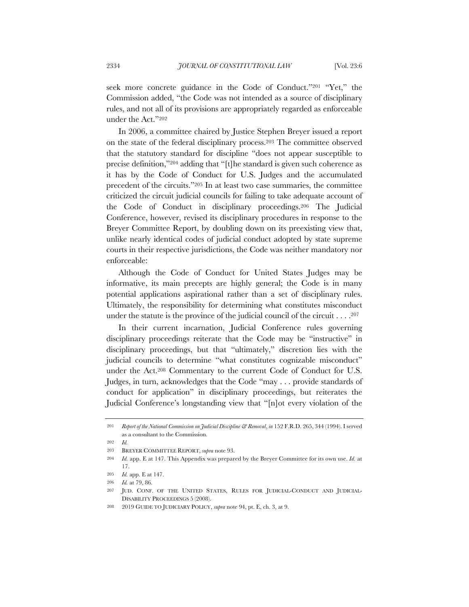seek more concrete guidance in the Code of Conduct."201 "Yet," the Commission added, "the Code was not intended as a source of disciplinary rules, and not all of its provisions are appropriately regarded as enforceable under the Act."202

In 2006, a committee chaired by Justice Stephen Breyer issued a report on the state of the federal disciplinary process.203 The committee observed that the statutory standard for discipline "does not appear susceptible to precise definition,"204 adding that "[t]he standard is given such coherence as it has by the Code of Conduct for U.S. Judges and the accumulated precedent of the circuits."205 In at least two case summaries, the committee criticized the circuit judicial councils for failing to take adequate account of the Code of Conduct in disciplinary proceedings.206 The Judicial Conference, however, revised its disciplinary procedures in response to the Breyer Committee Report, by doubling down on its preexisting view that, unlike nearly identical codes of judicial conduct adopted by state supreme courts in their respective jurisdictions, the Code was neither mandatory nor enforceable:

Although the Code of Conduct for United States Judges may be informative, its main precepts are highly general; the Code is in many potential applications aspirational rather than a set of disciplinary rules. Ultimately, the responsibility for determining what constitutes misconduct under the statute is the province of the judicial council of the circuit . . . .207

In their current incarnation, Judicial Conference rules governing disciplinary proceedings reiterate that the Code may be "instructive" in disciplinary proceedings, but that "ultimately," discretion lies with the judicial councils to determine "what constitutes cognizable misconduct" under the Act.208 Commentary to the current Code of Conduct for U.S. Judges, in turn, acknowledges that the Code "may . . . provide standards of conduct for application" in disciplinary proceedings, but reiterates the Judicial Conference's longstanding view that "[n]ot every violation of the

<sup>201</sup> *Report of the National Commission on Judicial Discipline & Removal*, *in* 152 F.R.D. 265, 344 (1994). I served as a consultant to the Commission.

<sup>202</sup> *Id.*

<sup>203</sup> BREYER COMMITTEE REPORT, *supra* note 93.

<sup>204</sup> *Id.* app. E at 147. This Appendix was prepared by the Breyer Committee for its own use. *Id.* at 17.

<sup>205</sup> *Id.* app. E at 147.

<sup>206</sup> *Id.* at 79, 86.

<sup>207</sup> JUD. CONF. OF THE UNITED STATES, RULES FOR JUDICIAL-CONDUCT AND JUDICIAL-DISABILITY PROCEEDINGS 5 (2008).

<sup>208</sup> 2019 GUIDE TO JUDICIARY POLICY, *supra* note 94, pt. E, ch. 3, at 9.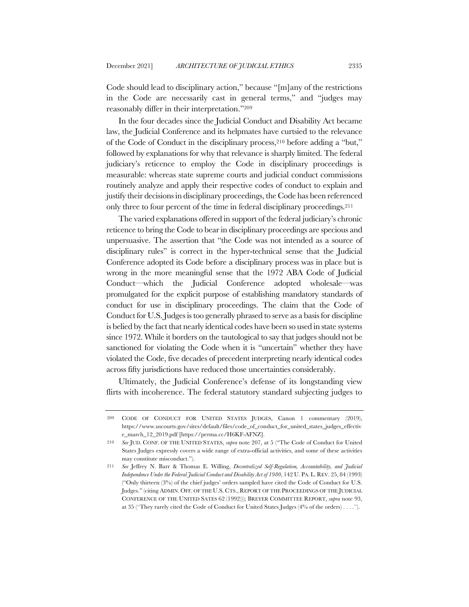Code should lead to disciplinary action," because "[m]any of the restrictions in the Code are necessarily cast in general terms," and "judges may reasonably differ in their interpretation."209

In the four decades since the Judicial Conduct and Disability Act became law, the Judicial Conference and its helpmates have curtsied to the relevance of the Code of Conduct in the disciplinary process,210 before adding a "but," followed by explanations for why that relevance is sharply limited. The federal judiciary's reticence to employ the Code in disciplinary proceedings is measurable: whereas state supreme courts and judicial conduct commissions routinely analyze and apply their respective codes of conduct to explain and justify their decisions in disciplinary proceedings, the Code has been referenced only three to four percent of the time in federal disciplinary proceedings.211

The varied explanations offered in support of the federal judiciary's chronic reticence to bring the Code to bear in disciplinary proceedings are specious and unpersuasive. The assertion that "the Code was not intended as a source of disciplinary rules" is correct in the hyper-technical sense that the Judicial Conference adopted its Code before a disciplinary process was in place but is wrong in the more meaningful sense that the 1972 ABA Code of Judicial Conduct—which the Judicial Conference adopted wholesale—was promulgated for the explicit purpose of establishing mandatory standards of conduct for use in disciplinary proceedings. The claim that the Code of Conduct for U.S. Judges is too generally phrased to serve as a basis for discipline is belied by the fact that nearly identical codes have been so used in state systems since 1972. While it borders on the tautological to say that judges should not be sanctioned for violating the Code when it is "uncertain" whether they have violated the Code, five decades of precedent interpreting nearly identical codes across fifty jurisdictions have reduced those uncertainties considerably.

Ultimately, the Judicial Conference's defense of its longstanding view flirts with incoherence. The federal statutory standard subjecting judges to

<sup>209</sup> CODE OF CONDUCT FOR UNITED STATES JUDGES, Canon 1 commentary (2019), https://www.uscourts.gov/sites/default/files/code\_of\_conduct\_for\_united\_states\_judges\_effectiv e\_march\_12\_2019.pdf [https://perma.cc/H6KF-AFNZ].

<sup>210</sup> *See* JUD. CONF. OF THE UNITED STATES, *supra* note 207, at 5 ("The Code of Conduct for United States Judges expressly covers a wide range of extra-official activities, and some of these activities may constitute misconduct.").

<sup>211</sup> *See* Jeffrey N. Barr & Thomas E. Willing, *Decentralized Self-Regulation, Accountability, and Judicial Independence Under the Federal Judicial Conduct and Disability Act of 1980*, 142 U. PA. L. REV. 25, 84 (1993) ("Only thirteen (3%) of the chief judges' orders sampled have cited the Code of Conduct for U.S. Judges." (citing ADMIN. OFF. OF THE U.S. CTS., REPORT OF THE PROCEEDINGS OF THE JUDICIAL CONFERENCE OF THE UNITED SATES 62 (1992))); BREYER COMMITTEE REPORT, *supra* note 93, at 35 ("They rarely cited the Code of Conduct for United States Judges (4% of the orders) . . . .").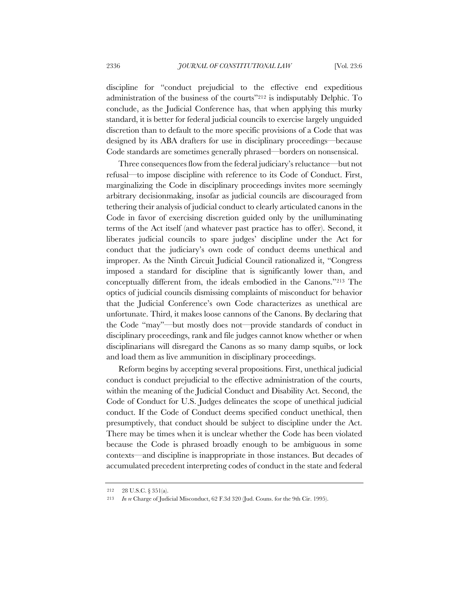discipline for "conduct prejudicial to the effective end expeditious administration of the business of the courts"212 is indisputably Delphic. To conclude, as the Judicial Conference has, that when applying this murky standard, it is better for federal judicial councils to exercise largely unguided discretion than to default to the more specific provisions of a Code that was designed by its ABA drafters for use in disciplinary proceedings—because Code standards are sometimes generally phrased—borders on nonsensical.

Three consequences flow from the federal judiciary's reluctance—but not refusal—to impose discipline with reference to its Code of Conduct. First, marginalizing the Code in disciplinary proceedings invites more seemingly arbitrary decisionmaking, insofar as judicial councils are discouraged from tethering their analysis of judicial conduct to clearly articulated canons in the Code in favor of exercising discretion guided only by the unilluminating terms of the Act itself (and whatever past practice has to offer). Second, it liberates judicial councils to spare judges' discipline under the Act for conduct that the judiciary's own code of conduct deems unethical and improper. As the Ninth Circuit Judicial Council rationalized it, "Congress imposed a standard for discipline that is significantly lower than, and conceptually different from, the ideals embodied in the Canons."213 The optics of judicial councils dismissing complaints of misconduct for behavior that the Judicial Conference's own Code characterizes as unethical are unfortunate. Third, it makes loose cannons of the Canons. By declaring that the Code "may"—but mostly does not—provide standards of conduct in disciplinary proceedings, rank and file judges cannot know whether or when disciplinarians will disregard the Canons as so many damp squibs, or lock and load them as live ammunition in disciplinary proceedings.

Reform begins by accepting several propositions. First, unethical judicial conduct is conduct prejudicial to the effective administration of the courts, within the meaning of the Judicial Conduct and Disability Act. Second, the Code of Conduct for U.S. Judges delineates the scope of unethical judicial conduct. If the Code of Conduct deems specified conduct unethical, then presumptively, that conduct should be subject to discipline under the Act. There may be times when it is unclear whether the Code has been violated because the Code is phrased broadly enough to be ambiguous in some contexts—and discipline is inappropriate in those instances. But decades of accumulated precedent interpreting codes of conduct in the state and federal

<sup>212</sup> 28 U.S.C. § 351(a).

<sup>213</sup> *In re* Charge of Judicial Misconduct, 62 F.3d 320 (Jud. Couns. for the 9th Cir. 1995).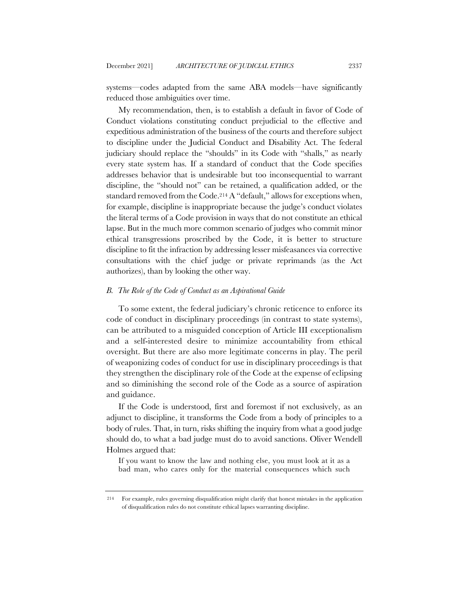systems—codes adapted from the same ABA models—have significantly reduced those ambiguities over time.

My recommendation, then, is to establish a default in favor of Code of Conduct violations constituting conduct prejudicial to the effective and expeditious administration of the business of the courts and therefore subject to discipline under the Judicial Conduct and Disability Act. The federal judiciary should replace the "shoulds" in its Code with "shalls," as nearly every state system has. If a standard of conduct that the Code specifies addresses behavior that is undesirable but too inconsequential to warrant discipline, the "should not" can be retained, a qualification added, or the standard removed from the Code.<sup>214</sup> A "default," allows for exceptions when, for example, discipline is inappropriate because the judge's conduct violates the literal terms of a Code provision in ways that do not constitute an ethical lapse. But in the much more common scenario of judges who commit minor ethical transgressions proscribed by the Code, it is better to structure discipline to fit the infraction by addressing lesser misfeasances via corrective consultations with the chief judge or private reprimands (as the Act authorizes), than by looking the other way.

#### *B. The Role of the Code of Conduct as an Aspirational Guide*

To some extent, the federal judiciary's chronic reticence to enforce its code of conduct in disciplinary proceedings (in contrast to state systems), can be attributed to a misguided conception of Article III exceptionalism and a self-interested desire to minimize accountability from ethical oversight. But there are also more legitimate concerns in play. The peril of weaponizing codes of conduct for use in disciplinary proceedings is that they strengthen the disciplinary role of the Code at the expense of eclipsing and so diminishing the second role of the Code as a source of aspiration and guidance.

If the Code is understood, first and foremost if not exclusively, as an adjunct to discipline, it transforms the Code from a body of principles to a body of rules. That, in turn, risks shifting the inquiry from what a good judge should do, to what a bad judge must do to avoid sanctions. Oliver Wendell Holmes argued that:

If you want to know the law and nothing else, you must look at it as a bad man, who cares only for the material consequences which such

<sup>214</sup> For example, rules governing disqualification might clarify that honest mistakes in the application of disqualification rules do not constitute ethical lapses warranting discipline.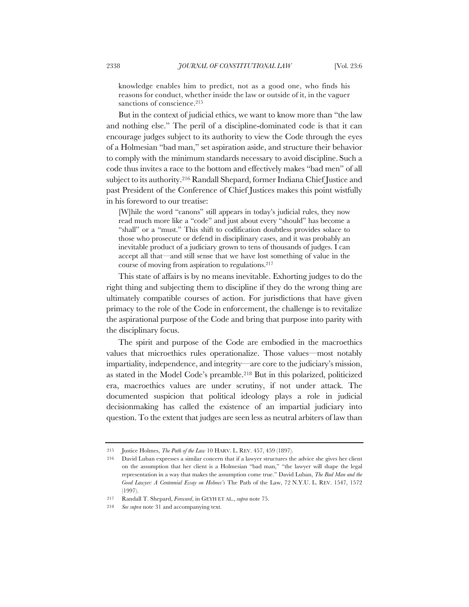knowledge enables him to predict, not as a good one, who finds his reasons for conduct, whether inside the law or outside of it, in the vaguer sanctions of conscience. 215

But in the context of judicial ethics, we want to know more than "the law and nothing else." The peril of a discipline-dominated code is that it can encourage judges subject to its authority to view the Code through the eyes of a Holmesian "bad man," set aspiration aside, and structure their behavior to comply with the minimum standards necessary to avoid discipline. Such a code thus invites a race to the bottom and effectively makes "bad men" of all subject to its authority.216 Randall Shepard, former Indiana Chief Justice and past President of the Conference of Chief Justices makes this point wistfully in his foreword to our treatise:

[W]hile the word "canons" still appears in today's judicial rules, they now read much more like a "code" and just about every "should" has become a "shall" or a "must." This shift to codification doubtless provides solace to those who prosecute or defend in disciplinary cases, and it was probably an inevitable product of a judiciary grown to tens of thousands of judges. I can accept all that—and still sense that we have lost something of value in the course of moving from aspiration to regulations.217

This state of affairs is by no means inevitable. Exhorting judges to do the right thing and subjecting them to discipline if they do the wrong thing are ultimately compatible courses of action. For jurisdictions that have given primacy to the role of the Code in enforcement, the challenge is to revitalize the aspirational purpose of the Code and bring that purpose into parity with the disciplinary focus.

The spirit and purpose of the Code are embodied in the macroethics values that microethics rules operationalize. Those values—most notably impartiality, independence, and integrity—are core to the judiciary's mission, as stated in the Model Code's preamble.218 But in this polarized, politicized era, macroethics values are under scrutiny, if not under attack. The documented suspicion that political ideology plays a role in judicial decisionmaking has called the existence of an impartial judiciary into question. To the extent that judges are seen less as neutral arbiters of law than

<sup>215</sup> Justice Holmes, *The Path of the Law* 10 HARV. L. REV. 457, 459 (1897).

<sup>216</sup> David Luban expresses a similar concern that if a lawyer structures the advice she gives her client on the assumption that her client is a Holmesian "bad man," "the lawyer will shape the legal representation in a way that makes the assumption come true." David Luban, *The Bad Man and the Good Lawyer: A Centennial Essay on Holmes's* The Path of the Law, 72 N.Y.U. L. REV. 1547, 1572 (1997).

<sup>217</sup> Randall T. Shepard, *Forward*, in GEYH ET AL., *supra* note 75.

<sup>218</sup> *See supra* note 31 and accompanying text.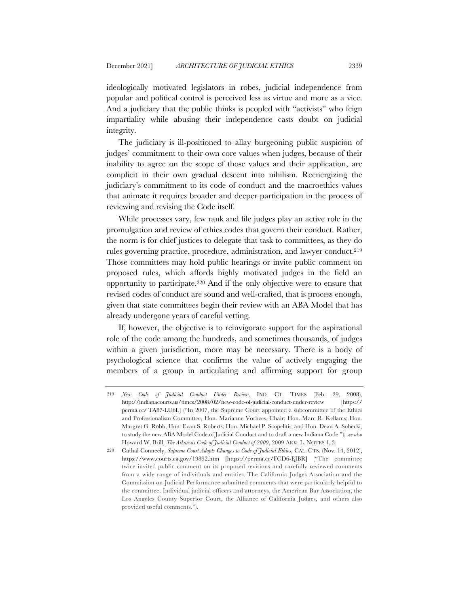ideologically motivated legislators in robes, judicial independence from popular and political control is perceived less as virtue and more as a vice. And a judiciary that the public thinks is peopled with "activists" who feign impartiality while abusing their independence casts doubt on judicial integrity.

The judiciary is ill-positioned to allay burgeoning public suspicion of judges' commitment to their own core values when judges, because of their inability to agree on the scope of those values and their application, are complicit in their own gradual descent into nihilism. Reenergizing the judiciary's commitment to its code of conduct and the macroethics values that animate it requires broader and deeper participation in the process of reviewing and revising the Code itself.

While processes vary, few rank and file judges play an active role in the promulgation and review of ethics codes that govern their conduct. Rather, the norm is for chief justices to delegate that task to committees, as they do rules governing practice, procedure, administration, and lawyer conduct.219 Those committees may hold public hearings or invite public comment on proposed rules, which affords highly motivated judges in the field an opportunity to participate.220 And if the only objective were to ensure that revised codes of conduct are sound and well-crafted, that is process enough, given that state committees begin their review with an ABA Model that has already undergone years of careful vetting.

If, however, the objective is to reinvigorate support for the aspirational role of the code among the hundreds, and sometimes thousands, of judges within a given jurisdiction, more may be necessary. There is a body of psychological science that confirms the value of actively engaging the members of a group in articulating and affirming support for group

<sup>219</sup> *New Code of Judicial Conduct Under Review*, IND. CT. TIMES (Feb. 29, 2008), http://indianacourts.us/times/2008/02/new-code-of-judicial-conduct-under-review [https:// perma.cc/ TA87-LU6L] ("In 2007, the Supreme Court appointed a subcommittee of the Ethics and Professionalism Committee, Hon. Marianne Vorhees, Chair; Hon. Marc R. Kellams; Hon. Margret G. Robb; Hon. Evan S. Roberts; Hon. Michael P. Scopelitis; and Hon. Dean A. Sobecki, to study the new ABA Model Code of Judicial Conduct and to draft a new Indiana Code."); *see also*  Howard W. Brill, *The Arkansas Code of Judicial Conduct of 2009*, 2009 ARK. L. NOTES 1, 3.

<sup>220</sup> Cathal Conneely, *Supreme Court Adopts Changes to Code of Judicial Ethics*, CAL. CTS. (Nov. 14, 2012), https://www.courts.ca.gov/19892.htm [https://perma.cc/FCD6-EJBR] ("The committee twice invited public comment on its proposed revisions and carefully reviewed comments from a wide range of individuals and entities. The California Judges Association and the Commission on Judicial Performance submitted comments that were particularly helpful to the committee. Individual judicial officers and attorneys, the American Bar Association, the Los Angeles County Superior Court, the Alliance of California Judges, and others also provided useful comments.").